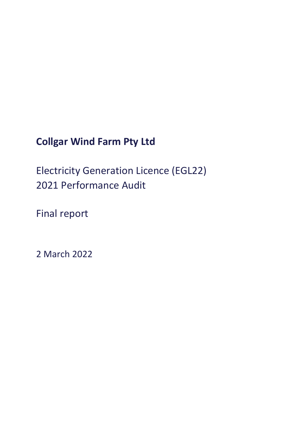# **Collgar Wind Farm Pty Ltd**

Electricity Generation Licence (EGL22) 2021 Performance Audit

Final report

2 March 2022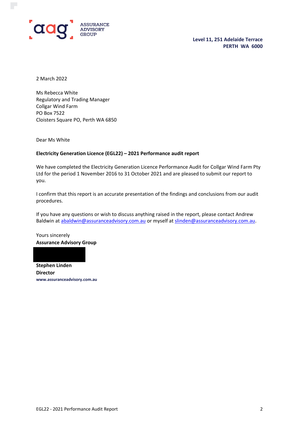

**Level 11, 251 Adelaide Terrace PERTH WA 6000**

2 March 2022

Ms Rebecca White Regulatory and Trading Manager Collgar Wind Farm PO Box 7522 Cloisters Square PO, Perth WA 6850

Dear Ms White

#### **Electricity Generation Licence (EGL22) – 2021 Performance audit report**

We have completed the Electricity Generation Licence Performance Audit for Collgar Wind Farm Pty Ltd for the period 1 November 2016 to 31 October 2021 and are pleased to submit our report to you.

I confirm that this report is an accurate presentation of the findings and conclusions from our audit procedures.

If you have any questions or wish to discuss anything raised in the report, please contact Andrew Baldwin at [abaldwin@assuranceadvisory.com.au](mailto:abaldwin@assuranceadvisory.com.au) or myself at [slinden@assuranceadvisory.com.au.](mailto:slinden@assuranceadvisory.com.au)

Yours sincerely **Assurance Advisory Group**

**Stephen Linden**

**Director www.assuranceadvisory.com.au**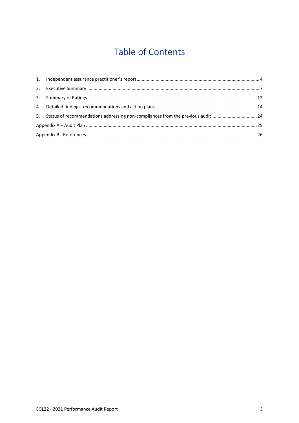# Table of Contents

| 5. Status of recommendations addressing non-compliances from the previous audit24 |  |
|-----------------------------------------------------------------------------------|--|
|                                                                                   |  |
|                                                                                   |  |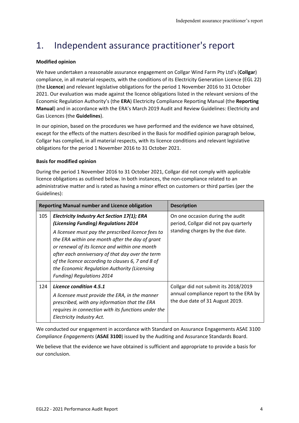# <span id="page-3-0"></span>1. Independent assurance practitioner's report

#### **Modified opinion**

We have undertaken a reasonable assurance engagement on Collgar Wind Farm Pty Ltd's (**Collgar**) compliance, in all material respects, with the conditions of its Electricity Generation Licence (EGL 22) (the **Licence**) and relevant legislative obligations for the period 1 November 2016 to 31 October 2021. Our evaluation was made against the licence obligations listed in the relevant versions of the Economic Regulation Authority's (the **ERA**) Electricity Compliance Reporting Manual (the **Reporting Manual**) and in accordance with the ERA's March 2019 Audit and Review Guidelines: Electricity and Gas Licences (the **Guidelines**).

In our opinion, based on the procedures we have performed and the evidence we have obtained, except for the effects of the matters described in the Basis for modified opinion paragraph below, Collgar has complied, in all material respects, with its licence conditions and relevant legislative obligations for the period 1 November 2016 to 31 October 2021.

#### **Basis for modified opinion**

During the period 1 November 2016 to 31 October 2021, Collgar did not comply with applicable licence obligations as outlined below. In both instances, the non-compliance related to an administrative matter and is rated as having a minor effect on customers or third parties (per the Guidelines):

|     | <b>Reporting Manual number and Licence obligation</b>                                                                                                                                                                                                                                                     | <b>Description</b>                                                                                                |  |  |  |
|-----|-----------------------------------------------------------------------------------------------------------------------------------------------------------------------------------------------------------------------------------------------------------------------------------------------------------|-------------------------------------------------------------------------------------------------------------------|--|--|--|
| 105 | <b>Electricity Industry Act Section 17(1); ERA</b><br>(Licensing Funding) Regulations 2014<br>A licensee must pay the prescribed licence fees to<br>the ERA within one month after the day of grant<br>or renewal of its licence and within one month<br>after each anniversary of that day over the term | On one occasion during the audit<br>period, Collgar did not pay quarterly<br>standing charges by the due date.    |  |  |  |
|     | of the licence according to clauses 6, 7 and 8 of<br>the Economic Regulation Authority (Licensing<br><b>Funding) Regulations 2014</b>                                                                                                                                                                     |                                                                                                                   |  |  |  |
| 124 | Licence condition 4.5.1<br>A licensee must provide the ERA, in the manner<br>prescribed, with any information that the ERA<br>requires in connection with its functions under the<br>Electricity Industry Act.                                                                                            | Collgar did not submit its 2018/2019<br>annual compliance report to the ERA by<br>the due date of 31 August 2019. |  |  |  |

We conducted our engagement in accordance with Standard on Assurance Engagements ASAE 3100 *Compliance Engagements* (**ASAE 3100**) issued by the Auditing and Assurance Standards Board.

We believe that the evidence we have obtained is sufficient and appropriate to provide a basis for our conclusion.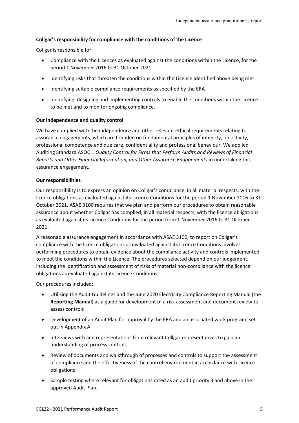#### **Collgar's responsibility for compliance with the conditions of the Licence**

Collgar is responsible for:

- Compliance with the Licences as evaluated against the conditions within the Licence, for the period 1 November 2016 to 31 October 2021
- Identifying risks that threaten the conditions within the Licence identified above being met
- Identifying suitable compliance requirements as specified by the ERA
- Identifying, designing and implementing controls to enable the conditions within the Licence to be met and to monitor ongoing compliance.

#### **Our independence and quality control**

We have complied with the independence and other relevant ethical requirements relating to assurance engagements, which are founded on fundamental principles of integrity, objectivity, professional competence and due care, confidentiality and professional behaviour. We applied Auditing Standard ASQC 1 *Quality Control for Firms that Perform Audits and Reviews of Financial Reports and Other Financial Information, and Other Assurance Engagements* in undertaking this assurance engagement.

#### **Our responsibilities**

Our responsibility is to express an opinion on Collgar's compliance, in all material respects, with the licence obligations as evaluated against its Licence Conditions for the period 1 November 2016 to 31 October 2021. ASAE 3100 requires that we plan and perform our procedures to obtain reasonable assurance about whether Collgar has complied, in all material respects, with the licence obligations as evaluated against its Licence Conditions for the period from 1 November 2016 to 31 October 2021.

A reasonable assurance engagement in accordance with ASAE 3100, to report on Collgar's compliance with the licence obligations as evaluated against its Licence Conditions involves performing procedures to obtain evidence about the compliance activity and controls implemented to meet the conditions within the Licence. The procedures selected depend on our judgement, including the identification and assessment of risks of material non-compliance with the licence obligations as evaluated against its Licence Conditions.

Our procedures included:

- Utilising the Audit Guidelines and the June 2020 Electricity Compliance Reporting Manual (the **Reporting Manual**) as a guide for development of a risk assessment and document review to assess controls
- Development of an Audit Plan for approval by the ERA and an associated work program, set out in Appendix A
- Interviews with and representations from relevant Collgar representatives to gain an understanding of process controls
- Review of documents and walkthrough of processes and controls to support the assessment of compliance and the effectiveness of the control environment in accordance with Licence obligations
- Sample testing where relevant for obligations rated as an audit priority 3 and above in the approved Audit Plan.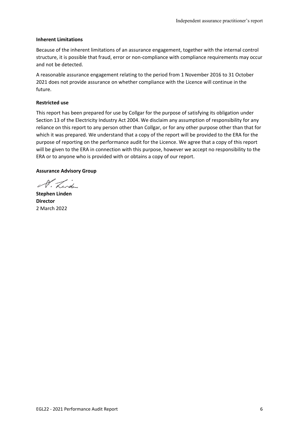#### **Inherent Limitations**

Because of the inherent limitations of an assurance engagement, together with the internal control structure, it is possible that fraud, error or non-compliance with compliance requirements may occur and not be detected.

A reasonable assurance engagement relating to the period from 1 November 2016 to 31 October 2021 does not provide assurance on whether compliance with the Licence will continue in the future.

#### **Restricted use**

This report has been prepared for use by Collgar for the purpose of satisfying its obligation under Section 13 of the Electricity Industry Act 2004. We disclaim any assumption of responsibility for any reliance on this report to any person other than Collgar, or for any other purpose other than that for which it was prepared. We understand that a copy of the report will be provided to the ERA for the purpose of reporting on the performance audit for the Licence. We agree that a copy of this report will be given to the ERA in connection with this purpose, however we accept no responsibility to the ERA or to anyone who is provided with or obtains a copy of our report.

#### **Assurance Advisory Group**

A. Lindi

**Stephen Linden Director** 2 March 2022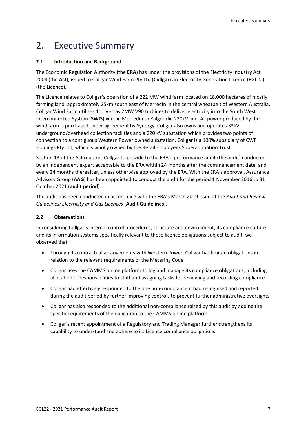## <span id="page-6-0"></span>2. Executive Summary

#### **2.1 Introduction and Background**

The Economic Regulation Authority (the **ERA**) has under the provisions of the Electricity Industry Act 2004 (the **Act**), issued to Collgar Wind Farm Pty Ltd (**Collgar**) an Electricity Generation Licence (EGL22) (the **Licence**).

The Licence relates to Collgar's operation of a 222 MW wind farm located on 18,000 hectares of mostly farming land, approximately 25km south east of Merredin in the central wheatbelt of Western Australia. Collgar Wind Farm utilises 111 Vestas 2MW V90 turbines to deliver electricity into the South West Interconnected System (**SWIS**) via the Merredin to Kalgoorlie 220kV line. All power produced by the wind farm is purchased under agreement by Synergy. Collgar also owns and operates 33kV underground/overhead collection facilities and a 220 kV substation which provides two points of connection to a contiguous Western Power owned substation. Collgar is a 100% subsidiary of CWF Holdings Pty Ltd, which is wholly owned by the Retail Employees Superannuation Trust.

Section 13 of the Act requires Collgar to provide to the ERA a performance audit (the audit) conducted by an independent expert acceptable to the ERA within 24 months after the commencement date, and every 24 months thereafter, unless otherwise approved by the ERA. With the ERA's approval, Assurance Advisory Group (**AAG**) has been appointed to conduct the audit for the period 1 November 2016 to 31 October 2021 (**audit period**).

The audit has been conducted in accordance with the ERA's March 2019 issue of the *Audit and Review Guidelines: Electricity and Gas Licences* (**Audit Guidelines**).

#### **2.2 Observations**

In considering Collgar's internal control procedures, structure and environment, its compliance culture and its information systems specifically relevant to those licence obligations subject to audit, we observed that:

- Through its contractual arrangements with Western Power, Collgar has limited obligations in relation to the relevant requirements of the Metering Code
- Collgar uses the CAMMS online platform to log and manage its compliance obligations, including allocation of responsibilities to staff and assigning tasks for reviewing and recording compliance
- Collgar had effectively responded to the one non-compliance it had recognised and reported during the audit period by further improving controls to prevent further administrative oversights
- Collgar has also responded to the additional non-compliance raised by this audit by adding the specific requirements of the obligation to the CAMMS online platform
- Collgar's recent appointment of a Regulatory and Trading Manager further strengthens its capability to understand and adhere to its Licence compliance obligations.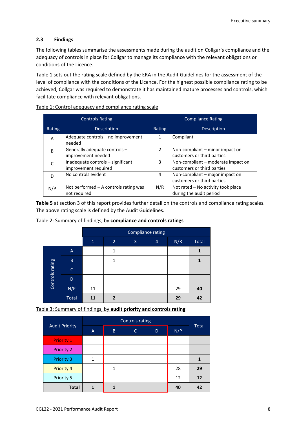#### **2.3 Findings**

The following tables summarise the assessments made during the audit on Collgar's compliance and the adequacy of controls in place for Collgar to manage its compliance with the relevant obligations or conditions of the Licence.

Table 1 sets out the rating scale defined by the ERA in the Audit Guidelines for the assessment of the level of compliance with the conditions of the Licence. For the highest possible compliance rating to be achieved, Collgar was required to demonstrate it has maintained mature processes and controls, which facilitate compliance with relevant obligations.

|              | <b>Controls Rating</b>                                    | <b>Compliance Rating</b> |                                                                  |  |  |  |
|--------------|-----------------------------------------------------------|--------------------------|------------------------------------------------------------------|--|--|--|
| Rating       | Description                                               | Rating                   | Description                                                      |  |  |  |
| A            | Adequate controls – no improvement<br>needed              | 1                        | Compliant                                                        |  |  |  |
| <sub>B</sub> | Generally adequate controls -<br>improvement needed       | $\mathcal{P}$            | Non-compliant – minor impact on<br>customers or third parties    |  |  |  |
|              | Inadequate controls - significant<br>improvement required | 3                        | Non-compliant - moderate impact on<br>customers or third parties |  |  |  |
|              | No controls evident                                       | 4                        | Non-compliant – major impact on<br>customers or third parties    |  |  |  |
| N/P          | Not performed $-$ A controls rating was<br>not required   | N/R                      | Not rated – No activity took place<br>during the audit period    |  |  |  |

Table 1: Control adequacy and compliance rating scale

**Table 5** at section 3 of this report provides further detail on the controls and compliance rating scales. The above rating scale is defined by the Audit Guidelines.

| Table 2: Summary of findings, by compliance and controls ratings |
|------------------------------------------------------------------|
|------------------------------------------------------------------|

|                 |              |              |                |   | <b>Compliance rating</b> |     |              |
|-----------------|--------------|--------------|----------------|---|--------------------------|-----|--------------|
|                 |              | $\mathbf{1}$ | $\overline{2}$ | 3 | $\overline{4}$           | N/R | Total        |
|                 | $\mathsf{A}$ |              | 1              |   |                          |     | $\mathbf{1}$ |
|                 | $\sf B$      |              | 1              |   |                          |     | 1            |
|                 | $\mathsf{C}$ |              |                |   |                          |     |              |
| Controls rating | D            |              |                |   |                          |     |              |
|                 | N/P          | 11           |                |   |                          | 29  | 40           |
|                 | Total        | 11           | $\overline{2}$ |   |                          | 29  | 42           |

Table 3: Summary of findings, by **audit priority and controls rating**

| <b>Audit Priority</b> | A | B            | C. | D | N/P | <b>Total</b> |
|-----------------------|---|--------------|----|---|-----|--------------|
| <b>Priority 1</b>     |   |              |    |   |     |              |
| <b>Priority 2</b>     |   |              |    |   |     |              |
| <b>Priority 3</b>     | 1 |              |    |   |     |              |
| <b>Priority 4</b>     |   | $\mathbf{1}$ |    |   | 28  | 29           |
| Priority 5            |   |              |    |   | 12  | 12           |
| <b>Total</b>          |   |              |    |   | 40  | 42           |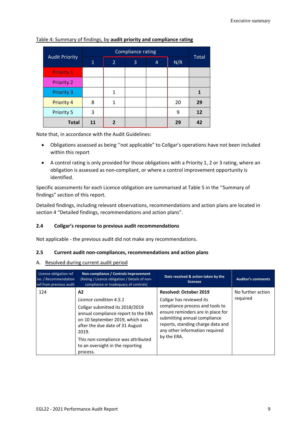| <b>Audit Priority</b> | $\mathbf{1}$ | 2 | 3 | 4 | N/R | <b>Total</b> |
|-----------------------|--------------|---|---|---|-----|--------------|
| <b>Priority 1</b>     |              |   |   |   |     |              |
| <b>Priority 2</b>     |              |   |   |   |     |              |
| <b>Priority 3</b>     |              | 1 |   |   |     |              |
| <b>Priority 4</b>     | 8            | 1 |   |   | 20  | 29           |
| Priority 5            | 3            |   |   |   | 9   | 12           |
| <b>Total</b>          | 11           | 2 |   |   | 29  | 42           |

Table 4: Summary of findings, by **audit priority and compliance rating**

Note that, in accordance with the Audit Guidelines:

- Obligations assessed as being ''not applicable" to Collgar's operations have not been included within this report
- A control rating is only provided for those obligations with a Priority 1, 2 or 3 rating, where an obligation is assessed as non-compliant, or where a control improvement opportunity is identified.

Specific assessments for each Licence obligation are summarised at Table 5 in the ''Summary of findings" section of this report.

Detailed findings, including relevant observations, recommendations and action plans are located in section 4 "Detailed findings, recommendations and action plans".

#### **2.4 Collgar's response to previous audit recommendations**

Not applicable - the previous audit did not make any recommendations.

#### **2.5 Current audit non-compliances, recommendations and action plans**

#### A. Resolved during current audit period

| Licence obligation ref<br>no. / Recommendation<br>ref from previous audit | Non-compliance / Controls improvement<br>(Rating / Licence obligation / Details of non-<br>compliance or inadequacy of controls)                                                                                                                                             | Date resolved & action taken by the<br>licensee                                                                                                                                                                                                         | <b>Auditor's comments</b>     |
|---------------------------------------------------------------------------|------------------------------------------------------------------------------------------------------------------------------------------------------------------------------------------------------------------------------------------------------------------------------|---------------------------------------------------------------------------------------------------------------------------------------------------------------------------------------------------------------------------------------------------------|-------------------------------|
| 124                                                                       | A2<br>Licence condition 4.5.1<br>Collgar submitted its 2018/2019<br>annual compliance report to the ERA<br>on 10 September 2019, which was<br>after the due date of 31 August<br>2019.<br>This non-compliance was attributed<br>to an oversight in the reporting<br>process. | <b>Resolved: October 2019</b><br>Collgar has reviewed its<br>compliance process and tools to<br>ensure reminders are in place for<br>submitting annual compliance<br>reports, standing charge data and<br>any other information required<br>by the ERA. | No further action<br>required |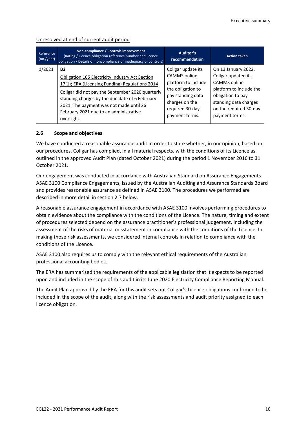#### Unresolved at end of current audit period

| Reference<br>(no./year) | Non-compliance / Controls improvement<br>(Rating / Licence obligation reference number and licence<br>obligation / Details of noncompliance or inadequacy of controls) | <b>Auditor's</b><br>recommendation | <b>Action taken</b>     |
|-------------------------|------------------------------------------------------------------------------------------------------------------------------------------------------------------------|------------------------------------|-------------------------|
| 1/2021                  | <b>B2</b>                                                                                                                                                              | Collgar update its                 | On 13 January 2022,     |
|                         | Obligation 105 Electricity Industry Act Section                                                                                                                        | CAMMS online                       | Collgar updated its     |
|                         | 17(1); ERA (Licensing Funding) Regulations 2014                                                                                                                        | platform to include                | CAMMS online            |
|                         | Collgar did not pay the September 2020 quarterly                                                                                                                       | the obligation to                  | platform to include the |
|                         | standing charges by the due date of 6 February                                                                                                                         | pay standing data                  | obligation to pay       |
|                         | 2021. The payment was not made until 26                                                                                                                                | charges on the                     | standing data charges   |
|                         | February 2021 due to an administrative                                                                                                                                 | required 30-day                    | on the required 30-day  |
|                         | oversight.                                                                                                                                                             | payment terms.                     | payment terms.          |

#### **2.6 Scope and objectives**

We have conducted a reasonable assurance audit in order to state whether, in our opinion, based on our procedures, Collgar has complied, in all material respects, with the conditions of its Licence as outlined in the approved Audit Plan (dated October 2021) during the period 1 November 2016 to 31 October 2021.

Our engagement was conducted in accordance with Australian Standard on Assurance Engagements ASAE 3100 Compliance Engagements, issued by the Australian Auditing and Assurance Standards Board and provides reasonable assurance as defined in ASAE 3100. The procedures we performed are described in more detail in section 2.7 below.

A reasonable assurance engagement in accordance with ASAE 3100 involves performing procedures to obtain evidence about the compliance with the conditions of the Licence. The nature, timing and extent of procedures selected depend on the assurance practitioner's professional judgement, including the assessment of the risks of material misstatement in compliance with the conditions of the Licence. In making those risk assessments, we considered internal controls in relation to compliance with the conditions of the Licence.

ASAE 3100 also requires us to comply with the relevant ethical requirements of the Australian professional accounting bodies.

The ERA has summarised the requirements of the applicable legislation that it expects to be reported upon and included in the scope of this audit in its June 2020 Electricity Compliance Reporting Manual.

The Audit Plan approved by the ERA for this audit sets out Collgar's Licence obligations confirmed to be included in the scope of the audit, along with the risk assessments and audit priority assigned to each licence obligation.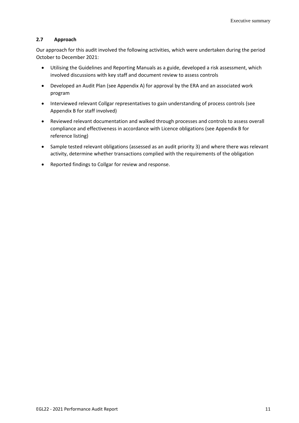#### **2.7 Approach**

Our approach for this audit involved the following activities, which were undertaken during the period October to December 2021:

- Utilising the Guidelines and Reporting Manuals as a guide, developed a risk assessment, which involved discussions with key staff and document review to assess controls
- Developed an Audit Plan (see Appendix A) for approval by the ERA and an associated work program
- Interviewed relevant Collgar representatives to gain understanding of process controls (see Appendix B for staff involved)
- Reviewed relevant documentation and walked through processes and controls to assess overall compliance and effectiveness in accordance with Licence obligations (see Appendix B for reference listing)
- Sample tested relevant obligations (assessed as an audit priority 3) and where there was relevant activity, determine whether transactions complied with the requirements of the obligation
- Reported findings to Collgar for review and response.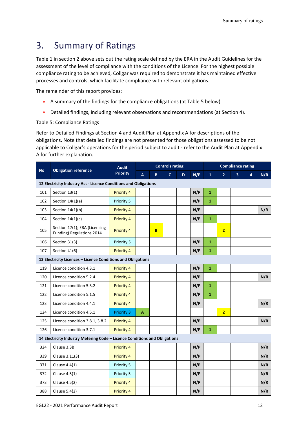## <span id="page-11-0"></span>3. Summary of Ratings

Table 1 in section 2 above sets out the rating scale defined by the ERA in the Audit Guidelines for the assessment of the level of compliance with the conditions of the Licence. For the highest possible compliance rating to be achieved, Collgar was required to demonstrate it has maintained effective processes and controls, which facilitate compliance with relevant obligations.

The remainder of this report provides:

- A summary of the findings for the compliance obligations (at Table 5 below)
- Detailed findings, including relevant observations and recommendations (at Section 4).

#### Table 5: Compliance Ratings

Refer to Detailed Findings at Section 4 and Audit Plan at Appendix A for descriptions of the obligations. Note that detailed findings are not presented for those obligations assessed to be not applicable to Collgar's operations for the period subject to audit - refer to the Audit Plan at Appendix A for further explanation.

| <b>No</b> | <b>Obligation reference</b>                                                | <b>Audit</b>      |                           |   | <b>Controls rating</b> |   |     |                |                | <b>Compliance rating</b> |                |     |
|-----------|----------------------------------------------------------------------------|-------------------|---------------------------|---|------------------------|---|-----|----------------|----------------|--------------------------|----------------|-----|
|           |                                                                            | <b>Priority</b>   | $\boldsymbol{\mathsf{A}}$ | B | $\mathbf{C}$           | D | N/P | $\overline{1}$ | $\overline{2}$ | 3                        | $\overline{4}$ | N/R |
|           | 12 Electricity Industry Act - Licence Conditions and Obligations           |                   |                           |   |                        |   |     |                |                |                          |                |     |
| 101       | Section 13(1)                                                              | <b>Priority 4</b> |                           |   |                        |   | N/P | $\mathbf{1}$   |                |                          |                |     |
| 102       | Section $14(1)(a)$                                                         | Priority 5        |                           |   |                        |   | N/P | $\mathbf{1}$   |                |                          |                |     |
| 103       | Section 14(1)(b)                                                           | Priority 4        |                           |   |                        |   | N/P |                |                |                          |                | N/R |
| 104       | Section $14(1)(c)$                                                         | Priority 4        |                           |   |                        |   | N/P | $\mathbf{1}$   |                |                          |                |     |
| 105       | Section 17(1); ERA (Licensing<br>Funding) Regulations 2014                 | Priority 4        |                           | B |                        |   |     |                | $\overline{2}$ |                          |                |     |
| 106       | Section 31(3)                                                              | Priority 5        |                           |   |                        |   | N/P | $\mathbf{1}$   |                |                          |                |     |
| 107       | Section 41(6)                                                              | Priority 4        |                           |   |                        |   | N/P | $\mathbf{1}$   |                |                          |                |     |
|           | 13 Electricity Licences - Licence Conditions and Obligations               |                   |                           |   |                        |   |     |                |                |                          |                |     |
| 119       | Licence condition 4.3.1                                                    | Priority 4        |                           |   |                        |   | N/P | $\mathbf{1}$   |                |                          |                |     |
| 120       | Licence condition 5.2.4                                                    | Priority 4        |                           |   |                        |   | N/P |                |                |                          |                | N/R |
| 121       | Licence condition 5.3.2                                                    | Priority 4        |                           |   |                        |   | N/P | $\mathbf{1}$   |                |                          |                |     |
| 122       | Licence condition 5.1.5                                                    | Priority 4        |                           |   |                        |   | N/P | $\mathbf 1$    |                |                          |                |     |
| 123       | Licence condition 4.4.1                                                    | Priority 4        |                           |   |                        |   | N/P |                |                |                          |                | N/R |
| 124       | Licence condition 4.5.1                                                    | <b>Priority 3</b> | A                         |   |                        |   |     |                | $\overline{2}$ |                          |                |     |
| 125       | Licence condition 3.8.1, 3.8.2                                             | Priority 4        |                           |   |                        |   | N/P |                |                |                          |                | N/R |
| 126       | Licence condition 3.7.1                                                    | <b>Priority 4</b> |                           |   |                        |   | N/P | $\mathbf{1}$   |                |                          |                |     |
|           | 14 Electricity Industry Metering Code - Licence Conditions and Obligations |                   |                           |   |                        |   |     |                |                |                          |                |     |
| 324       | Clause 3.3B                                                                | Priority 4        |                           |   |                        |   | N/P |                |                |                          |                | N/R |
| 339       | Clause 3.11(3)                                                             | Priority 4        |                           |   |                        |   | N/P |                |                |                          |                | N/R |
| 371       | Clause 4.4(1)                                                              | Priority 5        |                           |   |                        |   | N/P |                |                |                          |                | N/R |
| 372       | Clause 4.5(1)                                                              | Priority 5        |                           |   |                        |   | N/P |                |                |                          |                | N/R |
| 373       | Clause 4.5(2)                                                              | Priority 4        |                           |   |                        |   | N/P |                |                |                          |                | N/R |
| 388       | Clause 5.4(2)                                                              | <b>Priority 4</b> |                           |   |                        |   | N/P |                |                |                          |                | N/R |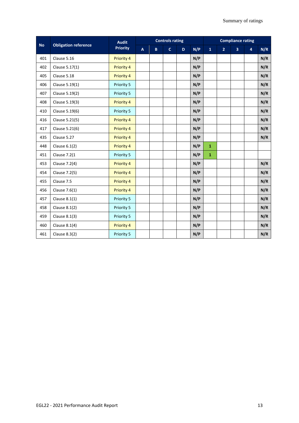|           |                             | <b>Audit</b>      |                                                             |  | <b>Controls rating</b> |                | <b>Compliance rating</b> |                         |     |  |     |
|-----------|-----------------------------|-------------------|-------------------------------------------------------------|--|------------------------|----------------|--------------------------|-------------------------|-----|--|-----|
| <b>No</b> | <b>Obligation reference</b> | <b>Priority</b>   | N/P<br>$\mathbf{C}$<br>$\boldsymbol{\mathsf{A}}$<br>B<br>D. |  | $\mathbf{1}$           | $\overline{2}$ | $\overline{\mathbf{3}}$  | $\overline{\mathbf{4}}$ | N/R |  |     |
| 401       | Clause 5.16                 | <b>Priority 4</b> |                                                             |  |                        | N/P            |                          |                         |     |  | N/R |
| 402       | Clause 5.17(1)              | <b>Priority 4</b> |                                                             |  |                        | N/P            |                          |                         |     |  | N/R |
| 405       | Clause 5.18                 | Priority 4        |                                                             |  |                        | N/P            |                          |                         |     |  | N/R |
| 406       | Clause 5.19(1)              | Priority 5        |                                                             |  |                        | N/P            |                          |                         |     |  | N/R |
| 407       | Clause 5.19(2)              | Priority 5        |                                                             |  |                        | N/P            |                          |                         |     |  | N/R |
| 408       | Clause 5.19(3)              | Priority 4        |                                                             |  |                        | N/P            |                          |                         |     |  | N/R |
| 410       | Clause 5.19(6)              | Priority 5        |                                                             |  |                        | N/P            |                          |                         |     |  | N/R |
| 416       | Clause 5.21(5)              | <b>Priority 4</b> |                                                             |  |                        | N/P            |                          |                         |     |  | N/R |
| 417       | Clause 5.21(6)              | <b>Priority 4</b> |                                                             |  |                        | N/P            |                          |                         |     |  | N/R |
| 435       | Clause 5.27                 | <b>Priority 4</b> |                                                             |  |                        | N/P            |                          |                         |     |  | N/R |
| 448       | Clause $6.1(2)$             | <b>Priority 4</b> |                                                             |  |                        | N/P            | $\mathbf{1}$             |                         |     |  |     |
| 451       | <b>Clause 7.2(1)</b>        | Priority 5        |                                                             |  |                        | N/P            | $\mathbf{1}$             |                         |     |  |     |
| 453       | Clause 7.2(4)               | <b>Priority 4</b> |                                                             |  |                        | N/P            |                          |                         |     |  | N/R |
| 454       | Clause 7.2(5)               | <b>Priority 4</b> |                                                             |  |                        | N/P            |                          |                         |     |  | N/R |
| 455       | Clause 7.5                  | <b>Priority 4</b> |                                                             |  |                        | N/P            |                          |                         |     |  | N/R |
| 456       | Clause 7.6(1)               | Priority 4        |                                                             |  |                        | N/P            |                          |                         |     |  | N/R |
| 457       | Clause $8.1(1)$             | Priority 5        |                                                             |  |                        | N/P            |                          |                         |     |  | N/R |
| 458       | Clause 8.1(2)               | Priority 5        |                                                             |  |                        | N/P            |                          |                         |     |  | N/R |
| 459       | Clause 8.1(3)               | Priority 5        |                                                             |  |                        | N/P            |                          |                         |     |  | N/R |
| 460       | Clause 8.1(4)               | Priority 4        |                                                             |  |                        | N/P            |                          |                         |     |  | N/R |
| 461       | Clause 8.3(2)               | Priority 5        |                                                             |  |                        | N/P            |                          |                         |     |  | N/R |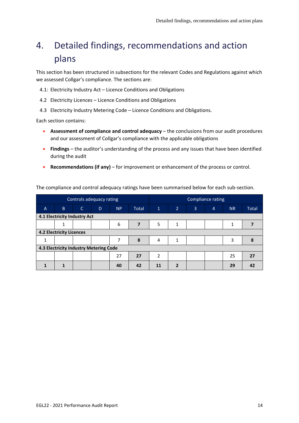# <span id="page-13-0"></span>4. Detailed findings, recommendations and action plans

This section has been structured in subsections for the relevant Codes and Regulations against which we assessed Collgar's compliance. The sections are:

4.1: Electricity Industry Act – Licence Conditions and Obligations

- 4.2 Electricity Licences Licence Conditions and Obligations
- 4.3 Electricity Industry Metering Code Licence Conditions and Obligations.

Each section contains:

- **Assessment of compliance and control adequacy** the conclusions from our audit procedures and our assessment of Collgar's compliance with the applicable obligations
- **Findings** the auditor's understanding of the process and any issues that have been identified during the audit
- **Recommendations (if any)** for improvement or enhancement of the process or control.

The compliance and control adequacy ratings have been summarised below for each sub-section.

|                              | Controls adequacy rating               |              |   |           |                         | Compliance rating |                |                |                |           |              |
|------------------------------|----------------------------------------|--------------|---|-----------|-------------------------|-------------------|----------------|----------------|----------------|-----------|--------------|
| $\overline{A}$               | B.                                     | $\mathsf{C}$ | D | <b>NP</b> | <b>Total</b>            | $\mathbf{1}$      | $\overline{2}$ | $\overline{3}$ | $\overline{4}$ | <b>NR</b> | <b>Total</b> |
| 4.1 Electricity Industry Act |                                        |              |   |           |                         |                   |                |                |                |           |              |
|                              | 1                                      |              |   | 6         | $\overline{\mathbf{z}}$ | 5                 | 1              |                |                | 1         |              |
|                              | <b>4.2 Electricity Licences</b>        |              |   |           |                         |                   |                |                |                |           |              |
| 1                            |                                        |              |   |           | 8                       | 4                 | 1              |                |                | 3         | 8            |
|                              | 4.3 Electricity Industry Metering Code |              |   |           |                         |                   |                |                |                |           |              |
|                              |                                        |              |   | 27        | 27                      | 2                 |                |                |                | 25        | 27           |
|                              |                                        |              |   | 40        | 42                      | 11                | $\overline{2}$ |                |                | 29        | 42           |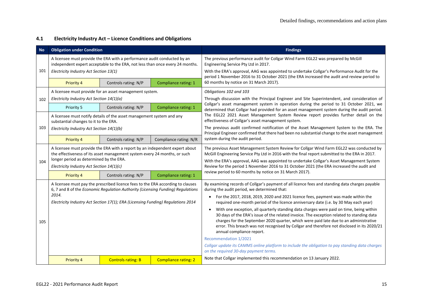#### **4.1 Electricity Industry Act – Licence Conditions and Obligations**

| <b>No</b> | <b>Obligation under Condition</b>                                                                                                                                                                                                                               |                                                                       |                             | <b>Findings</b>                                                                                                                                                                                                                                                                                                                                                                                                                                                                                                                                                                                                                                                                                                                                                                                                                                                                                                                          |
|-----------|-----------------------------------------------------------------------------------------------------------------------------------------------------------------------------------------------------------------------------------------------------------------|-----------------------------------------------------------------------|-----------------------------|------------------------------------------------------------------------------------------------------------------------------------------------------------------------------------------------------------------------------------------------------------------------------------------------------------------------------------------------------------------------------------------------------------------------------------------------------------------------------------------------------------------------------------------------------------------------------------------------------------------------------------------------------------------------------------------------------------------------------------------------------------------------------------------------------------------------------------------------------------------------------------------------------------------------------------------|
| 101       | A licensee must provide the ERA with a performance audit conducted by an<br>independent expert acceptable to the ERA, not less than once every 24 months.<br>Electricity Industry Act Section 13(1)                                                             |                                                                       |                             | The previous performance audit for Collgar Wind Farm EGL22 was prepared by McGill<br>Engineering Service Pty Ltd in 2017.<br>With the ERA's approval, AAG was appointed to undertake Collgar's Performance Audit for the<br>period 1 November 2016 to 31 October 2021 (the ERA increased the audit and review period to                                                                                                                                                                                                                                                                                                                                                                                                                                                                                                                                                                                                                  |
|           | Priority 4                                                                                                                                                                                                                                                      | Controls rating: N/P                                                  | Compliance rating: 1        | 60 months by notice on 31 March 2017).                                                                                                                                                                                                                                                                                                                                                                                                                                                                                                                                                                                                                                                                                                                                                                                                                                                                                                   |
| 102       | Electricity Industry Act Section 14(1)(a)                                                                                                                                                                                                                       | A licensee must provide for an asset management system.               |                             | Obligations 102 and 103<br>Through discussion with the Principal Engineer and Site Superintendent, and consideration of                                                                                                                                                                                                                                                                                                                                                                                                                                                                                                                                                                                                                                                                                                                                                                                                                  |
|           | Priority 5                                                                                                                                                                                                                                                      | Controls rating: N/P                                                  | Compliance rating: 1        | Collgar's asset management system in operation during the period to 31 October 2021, we<br>determined that Collgar had provided for an asset management system during the audit period.                                                                                                                                                                                                                                                                                                                                                                                                                                                                                                                                                                                                                                                                                                                                                  |
|           | substantial changes to it to the ERA.                                                                                                                                                                                                                           | A licensee must notify details of the asset management system and any |                             | The EGL22 2021 Asset Management System Review report provides further detail on the<br>effectiveness of Collgar's asset management system.                                                                                                                                                                                                                                                                                                                                                                                                                                                                                                                                                                                                                                                                                                                                                                                               |
| 103       | Electricity Industry Act Section 14(1)(b)                                                                                                                                                                                                                       |                                                                       |                             | The previous audit confirmed notification of the Asset Management System to the ERA. The<br>Principal Engineer confirmed that there had been no substantial change to the asset management                                                                                                                                                                                                                                                                                                                                                                                                                                                                                                                                                                                                                                                                                                                                               |
|           | <b>Priority 4</b>                                                                                                                                                                                                                                               | Controls rating: N/P                                                  | Compliance rating: N/R      | system during the audit period.                                                                                                                                                                                                                                                                                                                                                                                                                                                                                                                                                                                                                                                                                                                                                                                                                                                                                                          |
| 104       | A licensee must provide the ERA with a report by an independent expert about<br>the effectiveness of its asset management system every 24 months, or such<br>longer period as determined by the ERA.<br>Electricity Industry Act Section 14(1)(c)               |                                                                       |                             | The previous Asset Management System Review for Collgar Wind Farm EGL22 was conducted by<br>McGill Engineering Service Pty Ltd in 2016 with the final report submitted to the ERA in 2017.<br>With the ERA's approval, AAG was appointed to undertake Collgar's Asset Management System<br>Review for the period 1 November 2016 to 31 October 2021 (the ERA increased the audit and                                                                                                                                                                                                                                                                                                                                                                                                                                                                                                                                                     |
|           | <b>Priority 4</b>                                                                                                                                                                                                                                               | Controls rating: N/P                                                  | Compliance rating: 1        | review period to 60 months by notice on 31 March 2017).                                                                                                                                                                                                                                                                                                                                                                                                                                                                                                                                                                                                                                                                                                                                                                                                                                                                                  |
| 105       | A licensee must pay the prescribed licence fees to the ERA according to clauses<br>6, 7 and 8 of the Economic Regulation Authority (Licensing Funding) Regulations<br>2014.<br>Electricity Industry Act Section 17(1); ERA (Licensing Funding) Regulations 2014 |                                                                       |                             | By examining records of Collgar's payment of all licence fees and standing data charges payable<br>during the audit period, we determined that:<br>For the 2017, 2018, 2019, 2020 and 2021 licence fees, payment was made within the<br>$\bullet$<br>required one-month period of the licence anniversary date (i.e. by 30 May each year)<br>With one exception, all quarterly standing data charges were paid on time, being within<br>$\bullet$<br>30 days of the ERA's issue of the related invoice. The exception related to standing data<br>charges for the September 2020 quarter, which were paid late due to an administrative<br>error. This breach was not recognised by Collgar and therefore not disclosed in its 2020/21<br>annual compliance report.<br>Recommendation 1/2021<br>Collgar update its CAMMS online platform to include the obligation to pay standing data charges<br>on the required 30-day payment terms. |
|           | Priority 4                                                                                                                                                                                                                                                      | <b>Controls rating: B</b>                                             | <b>Compliance rating: 2</b> | Note that Collgar implemented this recommendation on 13 January 2022.                                                                                                                                                                                                                                                                                                                                                                                                                                                                                                                                                                                                                                                                                                                                                                                                                                                                    |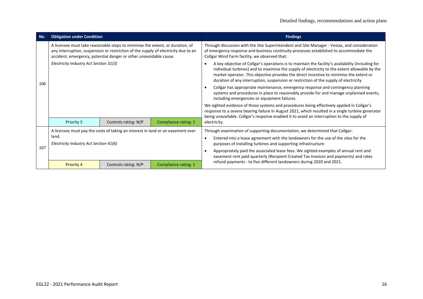| <b>No</b> | <b>Obligation under Condition</b>                                                                                                                                                                                                        |                                                                                 |                      | <b>Findings</b>                                                                                                                                                                                                                                                                                                                                                                       |
|-----------|------------------------------------------------------------------------------------------------------------------------------------------------------------------------------------------------------------------------------------------|---------------------------------------------------------------------------------|----------------------|---------------------------------------------------------------------------------------------------------------------------------------------------------------------------------------------------------------------------------------------------------------------------------------------------------------------------------------------------------------------------------------|
|           | A licensee must take reasonable steps to minimise the extent, or duration, of<br>any interruption, suspension or restriction of the supply of electricity due to an<br>accident, emergency, potential danger or other unavoidable cause. |                                                                                 |                      | Through discussion with the Site Superintendent and Site Manager - Vestas, and consideration<br>of emergency response and business continuity processes established to accommodate the<br>Collgar Wind Farm facility, we observed that:                                                                                                                                               |
| 106       | Electricity Industry Act Section 31(3)                                                                                                                                                                                                   |                                                                                 |                      | A key objective of Collgar's operations is to maintain the facility's availability (including for<br>individual turbines) and to maximise the supply of electricity to the extent allowable by the<br>market operator. This objective provides the direct incentive to minimise the extent or<br>duration of any interruption, suspension or restriction of the supply of electricity |
|           |                                                                                                                                                                                                                                          |                                                                                 |                      | Collgar has appropriate maintenance, emergency response and contingency planning<br>systems and procedures in place to reasonably provide for and manage unplanned events,<br>including emergencies or equipment failures.                                                                                                                                                            |
|           |                                                                                                                                                                                                                                          |                                                                                 |                      | We sighted evidence of those systems and procedures being effectively applied in Collgar's<br>response to a severe bearing failure in August 2021, which resulted in a single turbine generator<br>being unavailable. Collgar's response enabled it to avoid an interruption to the supply of                                                                                         |
|           | Priority 5                                                                                                                                                                                                                               | Controls rating: N/P                                                            | Compliance rating: 1 | electricity.                                                                                                                                                                                                                                                                                                                                                                          |
|           |                                                                                                                                                                                                                                          | A licensee must pay the costs of taking an interest in land or an easement over |                      | Through examination of supporting documentation, we determined that Collgar:                                                                                                                                                                                                                                                                                                          |
|           | land.<br>Electricity Industry Act Section 41(6)                                                                                                                                                                                          |                                                                                 |                      | Entered into a lease agreement with the landowners for the use of the sites for the<br>purposes of installing turbines and supporting infrastructure                                                                                                                                                                                                                                  |
| 107       |                                                                                                                                                                                                                                          |                                                                                 |                      | Appropriately paid the associated lease fees. We sighted examples of annual rent and<br>easement rent paid quarterly (Recipient Created Tax Invoices and payments) and rates                                                                                                                                                                                                          |
|           | <b>Priority 4</b>                                                                                                                                                                                                                        | Controls rating: N/P                                                            | Compliance rating: 1 | refund payments - to five different landowners during 2020 and 2021.                                                                                                                                                                                                                                                                                                                  |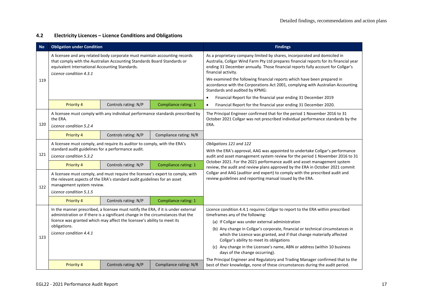#### **4.2 Electricity Licences – Licence Conditions and Obligations**

| <b>No</b> | <b>Obligation under Condition</b>                                                                                                                                                                                                  |                                                                                   |                                                                                | <b>Findings</b>                                                                                                                                                                                                                                                                |
|-----------|------------------------------------------------------------------------------------------------------------------------------------------------------------------------------------------------------------------------------------|-----------------------------------------------------------------------------------|--------------------------------------------------------------------------------|--------------------------------------------------------------------------------------------------------------------------------------------------------------------------------------------------------------------------------------------------------------------------------|
|           | A licensee and any related body corporate must maintain accounting records<br>that comply with the Australian Accounting Standards Board Standards or<br>equivalent International Accounting Standards.<br>Licence condition 4.3.1 |                                                                                   |                                                                                | As a proprietary company limited by shares, incorporated and domiciled in<br>Australia, Collgar Wind Farm Pty Ltd prepares financial reports for its financial year<br>ending 31 December annually. Those financial reports fully account for Collgar's<br>financial activity. |
| 119       |                                                                                                                                                                                                                                    |                                                                                   |                                                                                | We examined the following financial reports which have been prepared in<br>accordance with the Corporations Act 2001, complying with Australian Accounting<br>Standards and audited by KPMG:                                                                                   |
|           |                                                                                                                                                                                                                                    |                                                                                   |                                                                                | Financial Report for the financial year ending 31 December 2019<br>$\bullet$                                                                                                                                                                                                   |
|           | Priority 4                                                                                                                                                                                                                         | Controls rating: N/P                                                              | Compliance rating: 1                                                           | Financial Report for the financial year ending 31 December 2020.<br>$\bullet$                                                                                                                                                                                                  |
|           | the ERA.                                                                                                                                                                                                                           |                                                                                   | A licensee must comply with any individual performance standards prescribed by | The Principal Engineer confirmed that for the period 1 November 2016 to 31<br>October 2021 Collgar was not prescribed individual performance standards by the                                                                                                                  |
| 120       | Licence condition 5.2.4                                                                                                                                                                                                            |                                                                                   |                                                                                | ERA.                                                                                                                                                                                                                                                                           |
|           | Priority 4                                                                                                                                                                                                                         | Controls rating: N/P                                                              | Compliance rating: N/R                                                         |                                                                                                                                                                                                                                                                                |
|           | A licensee must comply, and require its auditor to comply, with the ERA's                                                                                                                                                          |                                                                                   |                                                                                | Obligations 121 and 122                                                                                                                                                                                                                                                        |
|           | standard audit guidelines for a performance audit.                                                                                                                                                                                 |                                                                                   |                                                                                | With the ERA's approval, AAG was appointed to undertake Collgar's performance<br>audit and asset management system review for the period 1 November 2016 to 31                                                                                                                 |
| 121       | Licence condition 5.3.2                                                                                                                                                                                                            |                                                                                   |                                                                                |                                                                                                                                                                                                                                                                                |
|           | Priority 4                                                                                                                                                                                                                         | Controls rating: N/P                                                              | <b>Compliance rating: 1</b>                                                    | October 2021. For the 2021 performance audit and asset management system<br>review, the audit and review plans approved by the ERA in October 2021 commit                                                                                                                      |
| 122       | A licensee must comply, and must require the licensee's expert to comply, with<br>the relevant aspects of the ERA's standard audit guidelines for an asset<br>management system review.<br>Licence condition 5.1.5                 |                                                                                   |                                                                                | Collgar and AAG (auditor and expert) to comply with the prescribed audit and<br>review guidelines and reporting manual issued by the ERA.                                                                                                                                      |
|           | <b>Priority 4</b>                                                                                                                                                                                                                  | Controls rating: N/P                                                              | <b>Compliance rating: 1</b>                                                    |                                                                                                                                                                                                                                                                                |
|           |                                                                                                                                                                                                                                    | In the manner prescribed, a licensee must notify the ERA, if it is under external |                                                                                | Licence condition 4.4.1 requires Collgar to report to the ERA within prescribed                                                                                                                                                                                                |
|           |                                                                                                                                                                                                                                    | administration or if there is a significant change in the circumstances that the  |                                                                                | timeframes any of the following:                                                                                                                                                                                                                                               |
|           | obligations.                                                                                                                                                                                                                       | licence was granted which may affect the licensee's ability to meet its           |                                                                                | (a) If Collgar was under external administration                                                                                                                                                                                                                               |
| 123       | Licence condition 4.4.1                                                                                                                                                                                                            |                                                                                   |                                                                                | (b) Any change in Collgar's corporate, financial or technical circumstances in<br>which the Licence was granted, and if that change materially affected<br>Collgar's ability to meet its obligations                                                                           |
|           |                                                                                                                                                                                                                                    |                                                                                   |                                                                                | (c) Any change in the Licensee's name, ABN or address (within 10 business<br>days of the change occurring).                                                                                                                                                                    |
|           | <b>Priority 4</b>                                                                                                                                                                                                                  | Controls rating: N/P                                                              | Compliance rating: N/R                                                         | The Principal Engineer and Regulatory and Trading Manager confirmed that to the<br>best of their knowledge, none of these circumstances during the audit period.                                                                                                               |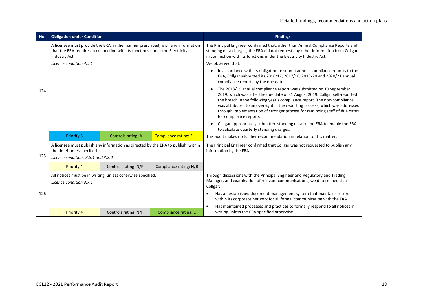| <b>No</b> | <b>Obligation under Condition</b>                                                                                                                                                |                           |                                                                                   | <b>Findings</b>                                                                                                                                                                                                                                                                                                                                                                                                                     |
|-----------|----------------------------------------------------------------------------------------------------------------------------------------------------------------------------------|---------------------------|-----------------------------------------------------------------------------------|-------------------------------------------------------------------------------------------------------------------------------------------------------------------------------------------------------------------------------------------------------------------------------------------------------------------------------------------------------------------------------------------------------------------------------------|
|           | A licensee must provide the ERA, in the manner prescribed, with any information<br>that the ERA requires in connection with its functions under the Electricity<br>Industry Act. |                           |                                                                                   | The Principal Engineer confirmed that, other than Annual Compliance Reports and<br>standing data charges, the ERA did not request any other information from Collgar<br>in connection with its functions under the Electricity Industry Act.                                                                                                                                                                                        |
|           | Licence condition 4.5.1                                                                                                                                                          |                           |                                                                                   | We observed that:                                                                                                                                                                                                                                                                                                                                                                                                                   |
|           |                                                                                                                                                                                  |                           |                                                                                   | In accordance with its obligation to submit annual compliance reports to the<br>ERA, Collgar submitted its 2016/17, 2017/18, 2019/20 and 2020/21 annual<br>compliance reports by the due date                                                                                                                                                                                                                                       |
| 124       |                                                                                                                                                                                  |                           |                                                                                   | The 2018/19 annual compliance report was submitted on 10 September<br>$\bullet$<br>2019, which was after the due date of 31 August 2019. Collgar self-reported<br>the breach in the following year's compliance report. The non-compliance<br>was attributed to an oversight in the reporting process, which was addressed<br>through implementation of stronger process for reminding staff of due dates<br>for compliance reports |
|           |                                                                                                                                                                                  |                           |                                                                                   | Collgar appropriately submitted standing data to the ERA to enable the ERA<br>to calculate quarterly standing charges.                                                                                                                                                                                                                                                                                                              |
|           | <b>Priority 3</b>                                                                                                                                                                | <b>Controls rating: A</b> | Compliance rating: 2                                                              | This audit makes no further recommendation in relation to this matter.                                                                                                                                                                                                                                                                                                                                                              |
| 125       | the timeframes specified.<br>Licence conditions 3.8.1 and 3.8.2                                                                                                                  |                           | A licensee must publish any information as directed by the ERA to publish, within | The Principal Engineer confirmed that Collgar was not requested to publish any<br>information by the ERA.                                                                                                                                                                                                                                                                                                                           |
|           | <b>Priority 4</b>                                                                                                                                                                | Controls rating: N/P      | Compliance rating: N/R                                                            |                                                                                                                                                                                                                                                                                                                                                                                                                                     |
|           | All notices must be in writing, unless otherwise specified.<br>Licence condition 3.7.1                                                                                           |                           |                                                                                   | Through discussions with the Principal Engineer and Regulatory and Trading<br>Manager, and examination of relevant communications, we determined that<br>Collgar:                                                                                                                                                                                                                                                                   |
| 126       |                                                                                                                                                                                  |                           |                                                                                   | Has an established document management system that maintains records<br>$\bullet$<br>within its corporate network for all formal communication with the ERA                                                                                                                                                                                                                                                                         |
|           | <b>Priority 4</b>                                                                                                                                                                | Controls rating: N/P      | <b>Compliance rating: 1</b>                                                       | Has maintained processes and practices to formally respond to all notices in<br>$\bullet$<br>writing unless the ERA specified otherwise.                                                                                                                                                                                                                                                                                            |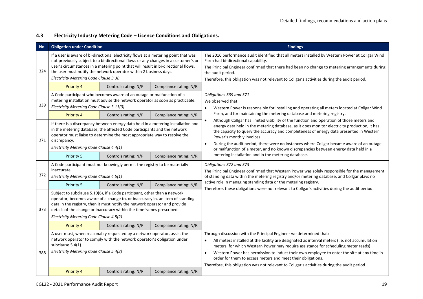#### **4.3 Electricity Industry Metering Code – Licence Conditions and Obligations.**

| Νo  | <b>Obligation under Condition</b>                                                                                                                                                                                                                                                                                                                                             |                      |                        | <b>Findings</b>                                                                                                                                                                                                                                                                                                                                                                                                                                                                                                                                  |
|-----|-------------------------------------------------------------------------------------------------------------------------------------------------------------------------------------------------------------------------------------------------------------------------------------------------------------------------------------------------------------------------------|----------------------|------------------------|--------------------------------------------------------------------------------------------------------------------------------------------------------------------------------------------------------------------------------------------------------------------------------------------------------------------------------------------------------------------------------------------------------------------------------------------------------------------------------------------------------------------------------------------------|
| 324 | If a user is aware of bi-directional electricity flows at a metering point that was<br>not previously subject to a bi-directional flows or any changes in a customer's or<br>user's circumstances in a metering point that will result in bi-directional flows,<br>the user must notify the network operator within 2 business days.<br>Electricity Metering Code Clause 3.3B |                      |                        | The 2016 performance audit identified that all meters installed by Western Power at Collgar Wind<br>Farm had bi-directional capability.<br>The Principal Engineer confirmed that there had been no change to metering arrangements during<br>the audit period.<br>Therefore, this obligation was not relevant to Collgar's activities during the audit period.                                                                                                                                                                                   |
|     | Priority 4                                                                                                                                                                                                                                                                                                                                                                    | Controls rating: N/P | Compliance rating: N/R |                                                                                                                                                                                                                                                                                                                                                                                                                                                                                                                                                  |
| 339 | A Code participant who becomes aware of an outage or malfunction of a<br>metering installation must advise the network operator as soon as practicable.<br>Electricity Metering Code Clause 3.11(3)                                                                                                                                                                           |                      |                        | Obligations 339 and 371<br>We observed that:<br>Western Power is responsible for installing and operating all meters located at Collgar Wind<br>$\bullet$                                                                                                                                                                                                                                                                                                                                                                                        |
|     | <b>Priority 4</b>                                                                                                                                                                                                                                                                                                                                                             | Controls rating: N/P | Compliance rating: N/R | Farm, and for maintaining the metering database and metering registry.                                                                                                                                                                                                                                                                                                                                                                                                                                                                           |
| 371 | $\bullet$<br>If there is a discrepancy between energy data held in a metering installation and<br>in the metering database, the affected Code participants and the network<br>operator must liaise to determine the most appropriate way to resolve the<br>discrepancy.<br>$\bullet$<br>Electricity Metering Code Clause 4.4(1)                                               |                      |                        | Although Collgar has limited visibility of the function and operation of those meters and<br>energy data held in the metering database, as it does monitor electricity production, it has<br>the capacity to query the accuracy and completeness of energy data presented in Western<br>Power's monthly invoices<br>During the audit period, there were no instances where Collgar became aware of an outage<br>or malfunction of a meter, and no known discrepancies between energy data held in a                                              |
|     | Priority 5                                                                                                                                                                                                                                                                                                                                                                    | Controls rating: N/P | Compliance rating: N/R | metering installation and in the metering database.                                                                                                                                                                                                                                                                                                                                                                                                                                                                                              |
| 372 | A Code participant must not knowingly permit the registry to be materially<br>inaccurate.<br>Electricity Metering Code Clause 4.5(1)                                                                                                                                                                                                                                          |                      |                        | Obligations 372 and 373<br>The Principal Engineer confirmed that Western Power was solely responsible for the management<br>of standing data within the metering registry and/or metering database, and Collgar plays no                                                                                                                                                                                                                                                                                                                         |
|     | Priority 5                                                                                                                                                                                                                                                                                                                                                                    | Controls rating: N/P | Compliance rating: N/R | active role in managing standing data or the metering registry.                                                                                                                                                                                                                                                                                                                                                                                                                                                                                  |
| 373 | Subject to subclause 5.19(6), if a Code participant, other than a network<br>operator, becomes aware of a change to, or inaccuracy in, an item of standing<br>data in the registry, then it must notify the network operator and provide<br>details of the change or inaccuracy within the timeframes prescribed.<br>Electricity Metering Code Clause 4.5(2)                  |                      |                        | Therefore, these obligations were not relevant to Collgar's activities during the audit period.                                                                                                                                                                                                                                                                                                                                                                                                                                                  |
|     | Priority 4                                                                                                                                                                                                                                                                                                                                                                    | Controls rating: N/P | Compliance rating: N/R |                                                                                                                                                                                                                                                                                                                                                                                                                                                                                                                                                  |
| 388 | A user must, when reasonably requested by a network operator, assist the<br>network operator to comply with the network operator's obligation under<br>subclause 5.4(1).<br>Electricity Metering Code Clause 5.4(2)                                                                                                                                                           |                      |                        | Through discussion with the Principal Engineer we determined that:<br>All meters installed at the facility are designated as interval meters (i.e. not accumulation<br>$\bullet$<br>meters, for which Western Power may require assistance for scheduling meter reads)<br>Western Power has permission to induct their own employee to enter the site at any time in<br>$\bullet$<br>order for them to access meters and meet their obligations.<br>Therefore, this obligation was not relevant to Collgar's activities during the audit period. |
|     | Priority 4                                                                                                                                                                                                                                                                                                                                                                    | Controls rating: N/P | Compliance rating: N/R |                                                                                                                                                                                                                                                                                                                                                                                                                                                                                                                                                  |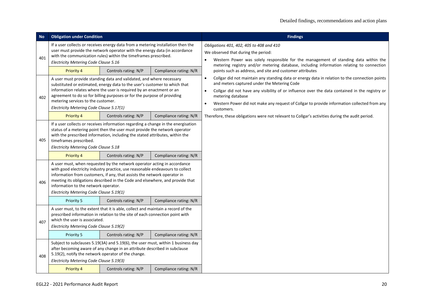| <b>No</b> | <b>Obligation under Condition</b>                                                                                                                                                                                                                                                                                                                                                                          |                      |                        | <b>Findings</b>                                                                                                                                                                                                                                                                                                                                                                                                          |
|-----------|------------------------------------------------------------------------------------------------------------------------------------------------------------------------------------------------------------------------------------------------------------------------------------------------------------------------------------------------------------------------------------------------------------|----------------------|------------------------|--------------------------------------------------------------------------------------------------------------------------------------------------------------------------------------------------------------------------------------------------------------------------------------------------------------------------------------------------------------------------------------------------------------------------|
| 401       | If a user collects or receives energy data from a metering installation then the<br>user must provide the network operator with the energy data (in accordance<br>with the communication rules) within the timeframes prescribed.<br>Electricity Metering Code Clause 5.16                                                                                                                                 |                      |                        | Obligations 401, 402, 405 to 408 and 410<br>We observed that during the period:<br>Western Power was solely responsible for the management of standing data within the<br>$\bullet$                                                                                                                                                                                                                                      |
|           | <b>Priority 4</b>                                                                                                                                                                                                                                                                                                                                                                                          | Controls rating: N/P | Compliance rating: N/R | metering registry and/or metering database, including information relating to connection<br>points such as address, and site and customer attributes                                                                                                                                                                                                                                                                     |
| 402       | A user must provide standing data and validated, and where necessary<br>substituted or estimated, energy data to the user's customer to which that<br>information relates where the user is required by an enactment or an<br>agreement to do so for billing purposes or for the purpose of providing<br>metering services to the customer.<br>Electricity Metering Code Clause 5.17(1)                    |                      |                        | Collgar did not maintain any standing data or energy data in relation to the connection points<br>$\bullet$<br>and meters captured under the Metering Code<br>Collgar did not have any visibility of or influence over the data contained in the registry or<br>$\bullet$<br>metering database<br>Western Power did not make any request of Collgar to provide information collected from any<br>$\bullet$<br>customers. |
|           | <b>Priority 4</b>                                                                                                                                                                                                                                                                                                                                                                                          | Controls rating: N/P | Compliance rating: N/R | Therefore, these obligations were not relevant to Collgar's activities during the audit period.                                                                                                                                                                                                                                                                                                                          |
| 405       | If a user collects or receives information regarding a change in the energisation<br>status of a metering point then the user must provide the network operator<br>with the prescribed information, including the stated attributes, within the<br>timeframes prescribed.<br>Electricity Metering Code Clause 5.18                                                                                         |                      |                        |                                                                                                                                                                                                                                                                                                                                                                                                                          |
|           | Priority 4                                                                                                                                                                                                                                                                                                                                                                                                 | Controls rating: N/P | Compliance rating: N/R |                                                                                                                                                                                                                                                                                                                                                                                                                          |
| 406       | A user must, when requested by the network operator acting in accordance<br>with good electricity industry practice, use reasonable endeavours to collect<br>information from customers, if any, that assists the network operator in<br>meeting its obligations described in the Code and elsewhere, and provide that<br>information to the network operator.<br>Electricity Metering Code Clause 5.19(1) |                      |                        |                                                                                                                                                                                                                                                                                                                                                                                                                          |
|           | Priority 5                                                                                                                                                                                                                                                                                                                                                                                                 | Controls rating: N/P | Compliance rating: N/R |                                                                                                                                                                                                                                                                                                                                                                                                                          |
| 407       | A user must, to the extent that it is able, collect and maintain a record of the<br>prescribed information in relation to the site of each connection point with<br>which the user is associated.<br>Electricity Metering Code Clause 5.19(2)                                                                                                                                                              |                      |                        |                                                                                                                                                                                                                                                                                                                                                                                                                          |
|           | Priority 5                                                                                                                                                                                                                                                                                                                                                                                                 | Controls rating: N/P | Compliance rating: N/R |                                                                                                                                                                                                                                                                                                                                                                                                                          |
| 408       | Subject to subclauses 5.19(3A) and 5.19(6), the user must, within 1 business day<br>after becoming aware of any change in an attribute described in subclause<br>5.19(2), notify the network operator of the change.<br>Electricity Metering Code Clause 5.19(3)                                                                                                                                           |                      |                        |                                                                                                                                                                                                                                                                                                                                                                                                                          |
|           | <b>Priority 4</b>                                                                                                                                                                                                                                                                                                                                                                                          | Controls rating: N/P | Compliance rating: N/R |                                                                                                                                                                                                                                                                                                                                                                                                                          |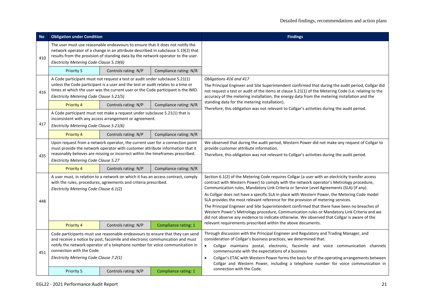| <b>No</b> | <b>Obligation under Condition</b>                                                                                                                                                                                                                                                                                      |                      |                        | <b>Findings</b>                                                                                                                                                                                                                                                                                                                                                                                                                                                                                                                                                                                                                                                           |
|-----------|------------------------------------------------------------------------------------------------------------------------------------------------------------------------------------------------------------------------------------------------------------------------------------------------------------------------|----------------------|------------------------|---------------------------------------------------------------------------------------------------------------------------------------------------------------------------------------------------------------------------------------------------------------------------------------------------------------------------------------------------------------------------------------------------------------------------------------------------------------------------------------------------------------------------------------------------------------------------------------------------------------------------------------------------------------------------|
| 410       | The user must use reasonable endeavours to ensure that it does not notify the<br>network operator of a change in an attribute described in subclause 5.19(2) that<br>results from the provision of standing data by the network operator to the user.<br>Electricity Metering Code Clause 5.19(6)                      |                      |                        |                                                                                                                                                                                                                                                                                                                                                                                                                                                                                                                                                                                                                                                                           |
|           | Priority 5                                                                                                                                                                                                                                                                                                             | Controls rating: N/P | Compliance rating: N/R |                                                                                                                                                                                                                                                                                                                                                                                                                                                                                                                                                                                                                                                                           |
| 416       | A Code participant must not request a test or audit under subclause 5.21(1)<br>unless the Code participant is a user and the test or audit relates to a time or<br>times at which the user was the current user or the Code participant is the IMO.<br>Electricity Metering Code Clause 5.21(5)                        |                      |                        | Obligations 416 and 417<br>The Principal Engineer and Site Superintendent confirmed that during the audit period, Collgar did<br>not request a test or audit of the items at clause 5.21(1) of the Metering Code (i.e. relating to the<br>accuracy of the metering installation, the energy data from the metering installation and the                                                                                                                                                                                                                                                                                                                                   |
|           | <b>Priority 4</b>                                                                                                                                                                                                                                                                                                      | Controls rating: N/P | Compliance rating: N/R | standing data for the metering installation).<br>Therefore, this obligation was not relevant to Collgar's activities during the audit period.                                                                                                                                                                                                                                                                                                                                                                                                                                                                                                                             |
| 417       | A Code participant must not make a request under subclause 5.21(1) that is<br>inconsistent with any access arrangement or agreement.<br>Electricity Metering Code Clause 5.21(6)                                                                                                                                       |                      |                        |                                                                                                                                                                                                                                                                                                                                                                                                                                                                                                                                                                                                                                                                           |
|           | <b>Priority 4</b>                                                                                                                                                                                                                                                                                                      | Controls rating: N/P | Compliance rating: N/R |                                                                                                                                                                                                                                                                                                                                                                                                                                                                                                                                                                                                                                                                           |
| 435       | Upon request from a network operator, the current user for a connection point<br>must provide the network operator with customer attribute information that it<br>reasonably believes are missing or incorrect within the timeframes prescribed.<br>Electricity Metering Code Clause 5.27                              |                      |                        | We observed that during the audit period, Western Power did not make any request of Collgar to<br>provide customer attribute information.<br>Therefore, this obligation was not relevant to Collgar's activities during the audit period.                                                                                                                                                                                                                                                                                                                                                                                                                                 |
|           | <b>Priority 4</b>                                                                                                                                                                                                                                                                                                      | Controls rating: N/P | Compliance rating: N/R |                                                                                                                                                                                                                                                                                                                                                                                                                                                                                                                                                                                                                                                                           |
| 448       | A user must, in relation to a network on which it has an access contract, comply<br>with the rules, procedures, agreements and criteria prescribed.<br>Electricity Metering Code Clause 6.1(2)                                                                                                                         |                      |                        | Section 6.1(2) of the Metering Code requires Collgar (a user with an electricity transfer access<br>contract with Western Power) to comply with the network operator's Metrology procedure,<br>Communication rules, Mandatory Link Criteria or Service Level Agreements (SLA) (if any).<br>As Collgar does not have a specific SLA in place with Western Power, the Metering Code model<br>SLA provides the most relevant reference for the provision of metering services.<br>The Principal Engineer and Site Superintendent confirmed that there have been no breaches of<br>Western Power's Metrology procedure, Communication rules or Mandatory Link Criteria and we |
|           | Priority 4                                                                                                                                                                                                                                                                                                             | Controls rating: N/P | Compliance rating: 1   | did not observe any evidence to indicate otherwise. We observed that Collgar is aware of the<br>relevant requirements prescribed within the above documents.                                                                                                                                                                                                                                                                                                                                                                                                                                                                                                              |
| 451       | Code participants must use reasonable endeavours to ensure that they can send<br>and receive a notice by post, facsimile and electronic communication and must<br>notify the network operator of a telephone number for voice communication in<br>connection with the Code.<br>Electricity Metering Code Clause 7.2(1) |                      |                        | Through discussion with the Principal Engineer and Regulatory and Trading Manager, and<br>consideration of Collgar's business practices, we determined that:<br>Collgar maintains postal, electronic, facsimile and voice communication channels<br>$\bullet$<br>commensurate with the expectations of a business<br>Collgar's ETAC with Western Power forms the basis for of the operating arrangements between<br>$\bullet$<br>Collgar and Western Power, including a telephone number for voice communication in<br>connection with the Code.                                                                                                                          |
|           | Priority 5                                                                                                                                                                                                                                                                                                             | Controls rating: N/P | Compliance rating: 1   |                                                                                                                                                                                                                                                                                                                                                                                                                                                                                                                                                                                                                                                                           |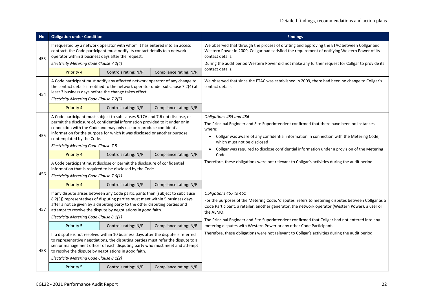| <b>No</b> | <b>Obligation under Condition</b>                                                                                                                                                                                                                                                                                                                                                      |                      |                        | <b>Findings</b>                                                                                                                                                                                                                                                                                                                                          |
|-----------|----------------------------------------------------------------------------------------------------------------------------------------------------------------------------------------------------------------------------------------------------------------------------------------------------------------------------------------------------------------------------------------|----------------------|------------------------|----------------------------------------------------------------------------------------------------------------------------------------------------------------------------------------------------------------------------------------------------------------------------------------------------------------------------------------------------------|
| 453       | If requested by a network operator with whom it has entered into an access<br>contract, the Code participant must notify its contact details to a network<br>operator within 3 business days after the request.<br>Electricity Metering Code Clause 7.2(4)                                                                                                                             |                      |                        | We observed that through the process of drafting and approving the ETAC between Collgar and<br>Western Power in 2009, Collgar had satisfied the requirement of notifying Western Power of its<br>contact details.<br>During the audit period Western Power did not make any further request for Collgar to provide its                                   |
|           | Priority 4                                                                                                                                                                                                                                                                                                                                                                             | Controls rating: N/P | Compliance rating: N/R | contact details.                                                                                                                                                                                                                                                                                                                                         |
| 454       | A Code participant must notify any affected network operator of any change to<br>the contact details it notified to the network operator under subclause 7.2(4) at<br>least 3 business days before the change takes effect.<br>Electricity Metering Code Clause 7.2(5)                                                                                                                 |                      |                        | We observed that since the ETAC was established in 2009, there had been no change to Collgar's<br>contact details.                                                                                                                                                                                                                                       |
|           | <b>Priority 4</b>                                                                                                                                                                                                                                                                                                                                                                      | Controls rating: N/P | Compliance rating: N/R |                                                                                                                                                                                                                                                                                                                                                          |
| 455       | A Code participant must subject to subclauses 5.17A and 7.6 not disclose, or<br>permit the disclosure of, confidential information provided to it under or in<br>connection with the Code and may only use or reproduce confidential<br>information for the purpose for which it was disclosed or another purpose<br>contemplated by the Code.<br>Electricity Metering Code Clause 7.5 |                      |                        | Obligations 455 and 456<br>The Principal Engineer and Site Superintendent confirmed that there have been no instances<br>where:<br>Collgar was aware of any confidential information in connection with the Metering Code,<br>which must not be disclosed<br>Collgar was required to disclose confidential information under a provision of the Metering |
|           | Priority 4                                                                                                                                                                                                                                                                                                                                                                             | Controls rating: N/P | Compliance rating: N/R | Code.                                                                                                                                                                                                                                                                                                                                                    |
| 456       | A Code participant must disclose or permit the disclosure of confidential<br>information that is required to be disclosed by the Code.<br>Electricity Metering Code Clause 7.6(1)                                                                                                                                                                                                      |                      |                        | Therefore, these obligations were not relevant to Collgar's activities during the audit period.                                                                                                                                                                                                                                                          |
|           | Priority 4                                                                                                                                                                                                                                                                                                                                                                             | Controls rating: N/P | Compliance rating: N/R |                                                                                                                                                                                                                                                                                                                                                          |
| 457       | If any dispute arises between any Code participants then (subject to subclause<br>8.2(3)) representatives of disputing parties must meet within 5 business days<br>after a notice given by a disputing party to the other disputing parties and<br>attempt to resolve the dispute by negotiations in good faith.<br>Electricity Metering Code Clause 8.1(1)                            |                      |                        | Obligations 457 to 461<br>For the purposes of the Metering Code, 'disputes' refers to metering disputes between Collgar as a<br>Code Participant, a retailer, another generator, the network operator (Western Power), a user or<br>the AEMO.<br>The Principal Engineer and Site Superintendent confirmed that Collgar had not entered into any          |
|           | Priority 5                                                                                                                                                                                                                                                                                                                                                                             | Controls rating: N/P | Compliance rating: N/R | metering disputes with Western Power or any other Code Participant.                                                                                                                                                                                                                                                                                      |
| 458       | If a dispute is not resolved within 10 business days after the dispute is referred<br>to representative negotiations, the disputing parties must refer the dispute to a<br>senior management officer of each disputing party who must meet and attempt<br>to resolve the dispute by negotiations in good faith.<br>Electricity Metering Code Clause 8.1(2)                             |                      |                        | Therefore, these obligations were not relevant to Collgar's activities during the audit period.                                                                                                                                                                                                                                                          |
|           | Priority 5                                                                                                                                                                                                                                                                                                                                                                             | Controls rating: N/P | Compliance rating: N/R |                                                                                                                                                                                                                                                                                                                                                          |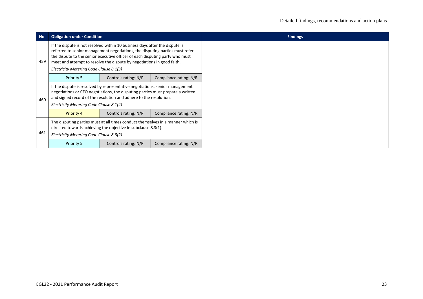| <b>No</b> | <b>Obligation under Condition</b>                                                                                                                                                                                                                                                                                                                                |                                                                                                                                                                                             |                        |  |
|-----------|------------------------------------------------------------------------------------------------------------------------------------------------------------------------------------------------------------------------------------------------------------------------------------------------------------------------------------------------------------------|---------------------------------------------------------------------------------------------------------------------------------------------------------------------------------------------|------------------------|--|
| 459       | If the dispute is not resolved within 10 business days after the dispute is<br>referred to senior management negotiations, the disputing parties must refer<br>the dispute to the senior executive officer of each disputing party who must<br>meet and attempt to resolve the dispute by negotiations in good faith.<br>Electricity Metering Code Clause 8.1(3) |                                                                                                                                                                                             |                        |  |
|           | Priority 5                                                                                                                                                                                                                                                                                                                                                       | Controls rating: N/P                                                                                                                                                                        | Compliance rating: N/R |  |
| 460       | If the dispute is resolved by representative negotiations, senior management<br>negotiations or CEO negotiations, the disputing parties must prepare a written<br>and signed record of the resolution and adhere to the resolution.<br>Electricity Metering Code Clause 8.1(4)                                                                                   |                                                                                                                                                                                             |                        |  |
|           | <b>Priority 4</b>                                                                                                                                                                                                                                                                                                                                                | Controls rating: N/P                                                                                                                                                                        | Compliance rating: N/R |  |
| 461       |                                                                                                                                                                                                                                                                                                                                                                  | The disputing parties must at all times conduct themselves in a manner which is<br>directed towards achieving the objective in subclause 8.3(1).<br>Electricity Metering Code Clause 8.3(2) |                        |  |
|           | Priority 5                                                                                                                                                                                                                                                                                                                                                       | Controls rating: N/P                                                                                                                                                                        | Compliance rating: N/R |  |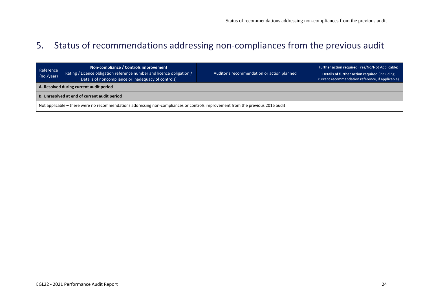## 5. Status of recommendations addressing non-compliances from the previous audit

<span id="page-23-0"></span>

| Reference<br>(no./year)                                                                                                         | Non-compliance / Controls improvement<br>Rating / Licence obligation reference number and licence obligation /<br>Details of noncompliance or inadequacy of controls) | Auditor's recommendation or action planned | Further action required (Yes/No/Not Applicable)<br>Details of further action required (including<br>current recommendation reference, if applicable) |  |  |
|---------------------------------------------------------------------------------------------------------------------------------|-----------------------------------------------------------------------------------------------------------------------------------------------------------------------|--------------------------------------------|------------------------------------------------------------------------------------------------------------------------------------------------------|--|--|
| A. Resolved during current audit period                                                                                         |                                                                                                                                                                       |                                            |                                                                                                                                                      |  |  |
| B. Unresolved at end of current audit period                                                                                    |                                                                                                                                                                       |                                            |                                                                                                                                                      |  |  |
| Not applicable – there were no recommendations addressing non-compliances or controls improvement from the previous 2016 audit. |                                                                                                                                                                       |                                            |                                                                                                                                                      |  |  |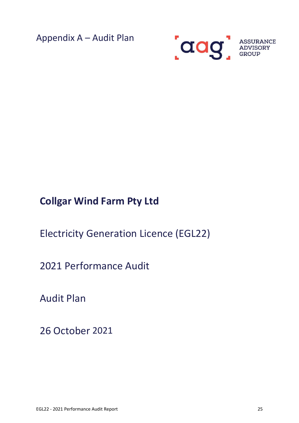<span id="page-24-0"></span>Appendix A – Audit Plan



# **Collgar Wind Farm Pty Ltd**

Electricity Generation Licence (EGL22)

2021 Performance Audit

Audit Plan

26 October 2021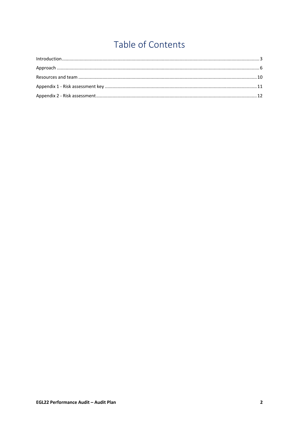# Table of Contents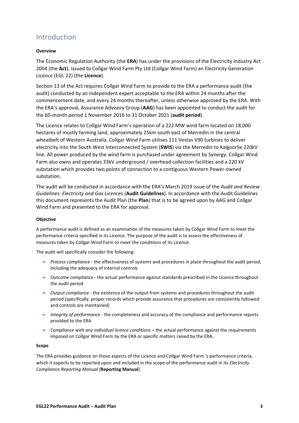### <span id="page-26-0"></span>Introduction

#### **Overview**

The Economic Regulation Authority (the **ERA**) has under the provisions of the Electricity Industry Act 2004 (the **Act**), issued to Collgar Wind Farm Pty Ltd (Collgar Wind Farm) an Electricity Generation Licence (EGL 22) (the **Licence**).

Section 13 of the Act requires Collgar Wind Farm to provide to the ERA a performance audit (the audit) conducted by an independent expert acceptable to the ERA within 24 months after the commencement date, and every 24 months thereafter, unless otherwise approved by the ERA. With the ERA's approval, Assurance Advisory Group (**AAG**) has been appointed to conduct the audit for the 60-month period 1 November 2016 to 31 October 2021 (**audit period**).

The Licence relates to Collgar Wind Farm's operation of a 222 MW wind farm located on 18,000 hectares of mostly farming land, approximately 25km south east of Merredin in the central wheatbelt of Western Australia. Collgar Wind Farm utilises 111 Vestas V90 turbines to deliver electricity into the South West Interconnected System (**SWIS**) via the Merredin to Kalgoorlie 220kV line. All power produced by the wind farm is purchased under agreement by Synergy. Collgar Wind Farm also owns and operates 33kV underground / overhead collection facilities and a 220 kV substation which provides two points of connection to a contiguous Western Power-owned substation.

The audit will be conducted in accordance with the ERA's March 2019 issue of the *Audit and Review Guidelines: Electricity and Gas Licences* (**Audit Guidelines**). In accordance with the Audit Guidelines this document represents the Audit Plan (the **Plan**) that is to be agreed upon by AAG and Collgar Wind Farm and presented to the ERA for approval.

#### **Objective**

A performance audit is defined as an examination of the measures taken by Collgar Wind Farm to meet the performance criteria specified in its Licence. The purpose of the audit is to assess the effectiveness of measures taken by Collgar Wind Farm to meet the conditions of its Licence.

The audit will specifically consider the following:

- *Process compliance* the effectiveness of systems and procedures in place throughout the audit period, including the adequacy of internal controls
- *Outcome compliance* the actual performance against standards prescribed in the Licence throughout the audit period
- *Output compliance* the existence of the output from systems and procedures throughout the audit period (specifically, proper records which provide assurance that procedures are consistently followed and controls are maintained)
- *Integrity of performance* the completeness and accuracy of the compliance and performance reports provided to the ERA
- *Compliance with any individual licence conditions* the actual performance against the requirements imposed on Collgar Wind Farm by the ERA or specific matters raised by the ERA.

#### **Scope**

The ERA provides guidance on those aspects of the Licence and Collgar Wind Farm 's performance criteria, which it expects to be reported upon and included in the scope of the performance audit in its *Electricity Compliance Reporting Manual* (**Reporting Manual**).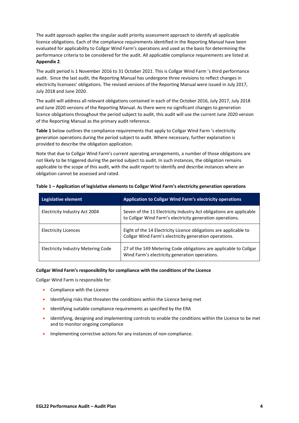The audit approach applies the singular audit priority assessment approach to identify all applicable licence obligations. Each of the compliance requirements identified in the Reporting Manual have been evaluated for applicability to Collgar Wind Farm's operations and used as the basis for determining the performance criteria to be considered for the audit. All applicable compliance requirements are listed at **Appendix 2**.

The audit period is 1 November 2016 to 31 October 2021. This is Collgar Wind Farm 's third performance audit. Since the last audit, the Reporting Manual has undergone three revisions to reflect changes in electricity licensees' obligations. The revised versions of the Reporting Manual were issued in July 2017, July 2018 and June 2020.

The audit will address all relevant obligations contained in each of the October 2016, July 2017, July 2018 and June 2020 versions of the Reporting Manual. As there were no significant changes to generation licence obligations throughout the period subject to audit, this audit will use the current June 2020 version of the Reporting Manual as the primary audit reference.

**Table 1** below outlines the compliance requirements that apply to Collgar Wind Farm 's electricity generation operations during the period subject to audit. Where necessary, further explanation is provided to describe the obligation application.

Note that due to Collgar Wind Farm's current operating arrangements, a number of those obligations are not likely to be triggered during the period subject to audit. In such instances, the obligation remains applicable to the scope of this audit, with the audit report to identify and describe instances where an obligation cannot be assessed and rated.

| Legislative element                       | <b>Application to Collgar Wind Farm's electricity operations</b>                                                                 |
|-------------------------------------------|----------------------------------------------------------------------------------------------------------------------------------|
| Electricity Industry Act 2004             | Seven of the 11 Electricity Industry Act obligations are applicable<br>to Collgar Wind Farm's electricity generation operations. |
| <b>Electricity Licences</b>               | Eight of the 14 Electricity Licence obligations are applicable to<br>Collgar Wind Farm's electricity generation operations.      |
| <b>Electricity Industry Metering Code</b> | 27 of the 149 Metering Code obligations are applicable to Collgar<br>Wind Farm's electricity generation operations.              |

#### **Table 1 – Application of legislative elements to Collgar Wind Farm's electricity generation operations**

#### **Collgar Wind Farm's responsibility for compliance with the conditions of the Licence**

Collgar Wind Farm is responsible for:

- Compliance with the Licence
- Identifying risks that threaten the conditions within the Licence being met
- Identifying suitable compliance requirements as specified by the ERA
- Identifying, designing and implementing controls to enable the conditions within the Licence to be met and to monitor ongoing compliance
- Implementing corrective actions for any instances of non-compliance.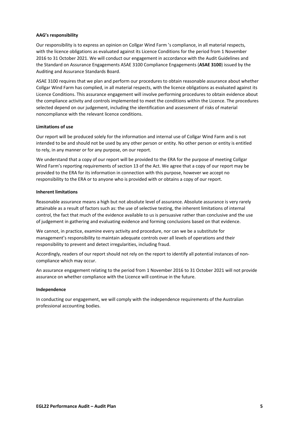#### **AAG's responsibility**

Our responsibility is to express an opinion on Collgar Wind Farm 's compliance, in all material respects, with the licence obligations as evaluated against its Licence Conditions for the period from 1 November 2016 to 31 October 2021. We will conduct our engagement in accordance with the Audit Guidelines and the Standard on Assurance Engagements ASAE 3100 Compliance Engagements (**ASAE 3100**) issued by the Auditing and Assurance Standards Board.

ASAE 3100 requires that we plan and perform our procedures to obtain reasonable assurance about whether Collgar Wind Farm has complied, in all material respects, with the licence obligations as evaluated against its Licence Conditions. This assurance engagement will involve performing procedures to obtain evidence about the compliance activity and controls implemented to meet the conditions within the Licence. The procedures selected depend on our judgement, including the identification and assessment of risks of material noncompliance with the relevant licence conditions.

#### **Limitations of use**

Our report will be produced solely for the information and internal use of Collgar Wind Farm and is not intended to be and should not be used by any other person or entity. No other person or entity is entitled to rely, in any manner or for any purpose, on our report.

We understand that a copy of our report will be provided to the ERA for the purpose of meeting Collgar Wind Farm's reporting requirements of section 13 of the Act. We agree that a copy of our report may be provided to the ERA for its information in connection with this purpose, however we accept no responsibility to the ERA or to anyone who is provided with or obtains a copy of our report.

#### **Inherent limitations**

Reasonable assurance means a high but not absolute level of assurance. Absolute assurance is very rarely attainable as a result of factors such as: the use of selective testing, the inherent limitations of internal control, the fact that much of the evidence available to us is persuasive rather than conclusive and the use of judgement in gathering and evaluating evidence and forming conclusions based on that evidence.

We cannot, in practice, examine every activity and procedure, nor can we be a substitute for management's responsibility to maintain adequate controls over all levels of operations and their responsibility to prevent and detect irregularities, including fraud.

Accordingly, readers of our report should not rely on the report to identify all potential instances of noncompliance which may occur.

An assurance engagement relating to the period from 1 November 2016 to 31 October 2021 will not provide assurance on whether compliance with the Licence will continue in the future.

#### **Independence**

In conducting our engagement, we will comply with the independence requirements of the Australian professional accounting bodies.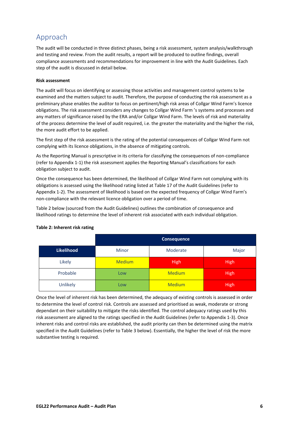### <span id="page-29-0"></span>Approach

The audit will be conducted in three distinct phases, being a risk assessment, system analysis/walkthrough and testing and review. From the audit results, a report will be produced to outline findings, overall compliance assessments and recommendations for improvement in line with the Audit Guidelines. Each step of the audit is discussed in detail below.

#### **Risk assessment**

The audit will focus on identifying or assessing those activities and management control systems to be examined and the matters subject to audit. Therefore, the purpose of conducting the risk assessment as a preliminary phase enables the auditor to focus on pertinent/high risk areas of Collgar Wind Farm's licence obligations. The risk assessment considers any changes to Collgar Wind Farm 's systems and processes and any matters of significance raised by the ERA and/or Collgar Wind Farm. The levels of risk and materiality of the process determine the level of audit required, i.e. the greater the materiality and the higher the risk, the more audit effort to be applied.

The first step of the risk assessment is the rating of the potential consequences of Collgar Wind Farm not complying with its licence obligations, in the absence of mitigating controls.

As the Reporting Manual is prescriptive in its criteria for classifying the consequences of non-compliance (refer to Appendix 1-1) the risk assessment applies the Reporting Manual's classifications for each obligation subject to audit.

Once the consequence has been determined, the likelihood of Collgar Wind Farm not complying with its obligations is assessed using the likelihood rating listed at Table 17 of the Audit Guidelines (refer to Appendix 1-2). The assessment of likelihood is based on the expected frequency of Collgar Wind Farm's non-compliance with the relevant licence obligation over a period of time.

Table 2 below (sourced from the Audit Guidelines) outlines the combination of consequence and likelihood ratings to determine the level of inherent risk associated with each individual obligation.

|            |               | Consequence   |             |  |  |  |  |  |  |  |
|------------|---------------|---------------|-------------|--|--|--|--|--|--|--|
| Likelihood | <b>Minor</b>  | Moderate      | Major       |  |  |  |  |  |  |  |
| Likely     | <b>Medium</b> | <b>High</b>   | <b>High</b> |  |  |  |  |  |  |  |
| Probable   | Low           | <b>Medium</b> | <b>High</b> |  |  |  |  |  |  |  |
| Unlikely   | Low           | <b>Medium</b> | <b>High</b> |  |  |  |  |  |  |  |

#### **Table 2: Inherent risk rating**

Once the level of inherent risk has been determined, the adequacy of existing controls is assessed in order to determine the level of control risk. Controls are assessed and prioritised as weak, moderate or strong dependant on their suitability to mitigate the risks identified. The control adequacy ratings used by this risk assessment are aligned to the ratings specified in the Audit Guidelines (refer to Appendix 1-3). Once inherent risks and control risks are established, the audit priority can then be determined using the matrix specified in the Audit Guidelines (refer to Table 3 below). Essentially, the higher the level of risk the more substantive testing is required.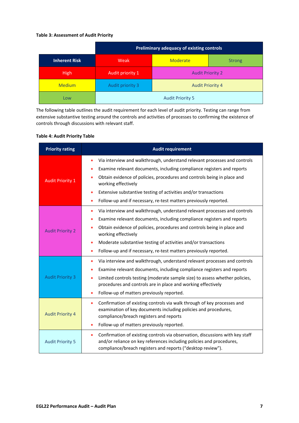#### **Table 3: Assessment of Audit Priority**

|                      |                  | Preliminary adequacy of existing controls |  |  |  |  |  |  |  |
|----------------------|------------------|-------------------------------------------|--|--|--|--|--|--|--|
| <b>Inherent Risk</b> | Weak             | <b>Moderate</b><br><b>Strong</b>          |  |  |  |  |  |  |  |
| <b>High</b>          | Audit priority 1 | <b>Audit Priority 2</b>                   |  |  |  |  |  |  |  |
| <b>Medium</b>        | Audit priority 3 | <b>Audit Priority 4</b>                   |  |  |  |  |  |  |  |
| Low                  |                  | <b>Audit Priority 5</b>                   |  |  |  |  |  |  |  |

The following table outlines the audit requirement for each level of audit priority. Testing can range from extensive substantive testing around the controls and activities of processes to confirming the existence of controls through discussions with relevant staff.

#### **Table 4: Audit Priority Table**

| <b>Priority rating</b>  | <b>Audit requirement</b>                                                                                                                                                                                                                                                                                                                                                                    |  |  |  |  |
|-------------------------|---------------------------------------------------------------------------------------------------------------------------------------------------------------------------------------------------------------------------------------------------------------------------------------------------------------------------------------------------------------------------------------------|--|--|--|--|
| <b>Audit Priority 1</b> | Via interview and walkthrough, understand relevant processes and controls<br>Examine relevant documents, including compliance registers and reports<br>Obtain evidence of policies, procedures and controls being in place and<br>working effectively                                                                                                                                       |  |  |  |  |
|                         | Extensive substantive testing of activities and/or transactions<br>Follow-up and if necessary, re-test matters previously reported.                                                                                                                                                                                                                                                         |  |  |  |  |
| <b>Audit Priority 2</b> | Via interview and walkthrough, understand relevant processes and controls<br>Examine relevant documents, including compliance registers and reports<br>Obtain evidence of policies, procedures and controls being in place and<br>working effectively<br>Moderate substantive testing of activities and/or transactions<br>Follow-up and if necessary, re-test matters previously reported. |  |  |  |  |
| <b>Audit Priority 3</b> | Via interview and walkthrough, understand relevant processes and controls<br>۰<br>Examine relevant documents, including compliance registers and reports<br>Limited controls testing (moderate sample size) to assess whether policies,<br>procedures and controls are in place and working effectively<br>Follow-up of matters previously reported.                                        |  |  |  |  |
| <b>Audit Priority 4</b> | Confirmation of existing controls via walk through of key processes and<br>۰<br>examination of key documents including policies and procedures,<br>compliance/breach registers and reports<br>Follow-up of matters previously reported.                                                                                                                                                     |  |  |  |  |
| <b>Audit Priority 5</b> | Confirmation of existing controls via observation, discussions with key staff<br>۰<br>and/or reliance on key references including policies and procedures,<br>compliance/breach registers and reports ("desktop review").                                                                                                                                                                   |  |  |  |  |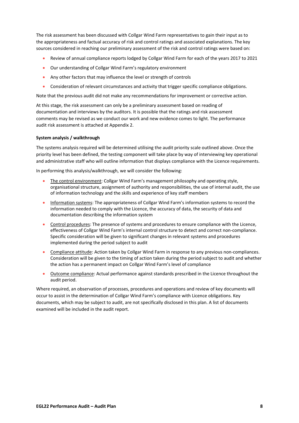The risk assessment has been discussed with Collgar Wind Farm representatives to gain their input as to the appropriateness and factual accuracy of risk and control ratings and associated explanations. The key sources considered in reaching our preliminary assessment of the risk and control ratings were based on:

- Review of annual compliance reports lodged by Collgar Wind Farm for each of the years 2017 to 2021
- Our understanding of Collgar Wind Farm's regulatory environment
- Any other factors that may influence the level or strength of controls
- Consideration of relevant circumstances and activity that trigger specific compliance obligations.

Note that the previous audit did not make any recommendations for improvement or corrective action.

At this stage, the risk assessment can only be a preliminary assessment based on reading of documentation and interviews by the auditors. It is possible that the ratings and risk assessment comments may be revised as we conduct our work and new evidence comes to light. The performance audit risk assessment is attached at Appendix 2.

#### **System analysis / walkthrough**

The systems analysis required will be determined utilising the audit priority scale outlined above. Once the priority level has been defined, the testing component will take place by way of interviewing key operational and administrative staff who will outline information that displays compliance with the Licence requirements.

In performing this analysis/walkthrough, we will consider the following:

- The control environment: Collgar Wind Farm's management philosophy and operating style, organisational structure, assignment of authority and responsibilities, the use of internal audit, the use of information technology and the skills and experience of key staff members
- Information systems: The appropriateness of Collgar Wind Farm's information systems to record the information needed to comply with the Licence, the accuracy of data, the security of data and documentation describing the information system
- Control procedures: The presence of systems and procedures to ensure compliance with the Licence, effectiveness of Collgar Wind Farm's internal control structure to detect and correct non-compliance. Specific consideration will be given to significant changes in relevant systems and procedures implemented during the period subject to audit
- Compliance attitude: Action taken by Collgar Wind Farm in response to any previous non-compliances. Consideration will be given to the timing of action taken during the period subject to audit and whether the action has a permanent impact on Collgar Wind Farm's level of compliance
- Outcome compliance: Actual performance against standards prescribed in the Licence throughout the audit period.

Where required, an observation of processes, procedures and operations and review of key documents will occur to assist in the determination of Collgar Wind Farm's compliance with Licence obligations. Key documents, which may be subject to audit, are not specifically disclosed in this plan. A list of documents examined will be included in the audit report.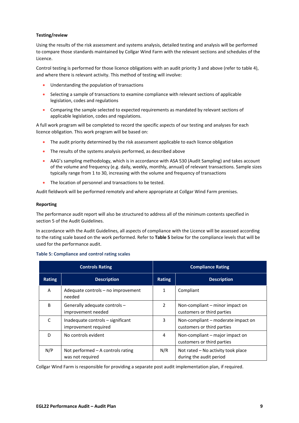#### **Testing/review**

Using the results of the risk assessment and systems analysis, detailed testing and analysis will be performed to compare those standards maintained by Collgar Wind Farm with the relevant sections and schedules of the Licence.

Control testing is performed for those licence obligations with an audit priority 3 and above (refer to table 4), and where there is relevant activity. This method of testing will involve:

- Understanding the population of transactions
- Selecting a sample of transactions to examine compliance with relevant sections of applicable legislation, codes and regulations
- Comparing the sample selected to expected requirements as mandated by relevant sections of applicable legislation, codes and regulations.

A full work program will be completed to record the specific aspects of our testing and analyses for each licence obligation. This work program will be based on:

- The audit priority determined by the risk assessment applicable to each licence obligation
- The results of the systems analysis performed, as described above
- AAG's sampling methodology, which is in accordance with ASA 530 (Audit Sampling) and takes account of the volume and frequency (e.g. daily, weekly, monthly, annual) of relevant transactions. Sample sizes typically range from 1 to 30, increasing with the volume and frequency of transactions
- The location of personnel and transactions to be tested.

Audit fieldwork will be performed remotely and where appropriate at Collgar Wind Farm premises.

#### **Reporting**

The performance audit report will also be structured to address all of the minimum contents specified in section 5 of the Audit Guidelines.

In accordance with the Audit Guidelines, all aspects of compliance with the Licence will be assessed according to the rating scale based on the work performed. Refer to **Table 5** below for the compliance levels that will be used for the performance audit.

#### **Table 5: Compliance and control rating scales**

|               | <b>Controls Rating</b>                                    | <b>Compliance Rating</b> |                                                                  |  |  |
|---------------|-----------------------------------------------------------|--------------------------|------------------------------------------------------------------|--|--|
| <b>Rating</b> | <b>Description</b>                                        | <b>Rating</b>            | <b>Description</b>                                               |  |  |
| A             | Adequate controls - no improvement<br>needed              | 1                        | Compliant                                                        |  |  |
| B             | Generally adequate controls -<br>improvement needed       | 2                        | Non-compliant – minor impact on<br>customers or third parties    |  |  |
|               | Inadequate controls - significant<br>improvement required | 3                        | Non-compliant – moderate impact on<br>customers or third parties |  |  |
| D             | No controls evident                                       | 4                        | Non-compliant – major impact on<br>customers or third parties    |  |  |
| N/P           | Not performed $-$ A controls rating<br>was not required   | N/R                      | Not rated - No activity took place<br>during the audit period    |  |  |

Collgar Wind Farm is responsible for providing a separate post audit implementation plan, if required.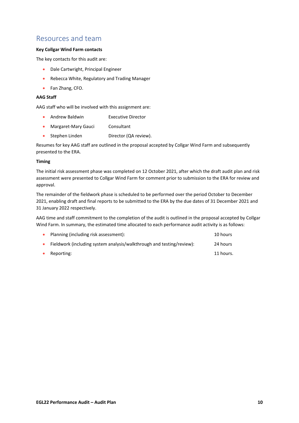### <span id="page-33-0"></span>Resources and team

#### **Key Collgar Wind Farm contacts**

The key contacts for this audit are:

- Dale Cartwright, Principal Engineer
- Rebecca White, Regulatory and Trading Manager
- Fan Zhang, CFO.

#### **AAG Staff**

AAG staff who will be involved with this assignment are:

- Andrew Baldwin **Executive Director**
- Margaret-Mary Gauci Consultant
- Stephen Linden Director (QA review).

Resumes for key AAG staff are outlined in the proposal accepted by Collgar Wind Farm and subsequently presented to the ERA.

#### **Timing**

The initial risk assessment phase was completed on 12 October 2021, after which the draft audit plan and risk assessment were presented to Collgar Wind Farm for comment prior to submission to the ERA for review and approval.

The remainder of the fieldwork phase is scheduled to be performed over the period October to December 2021, enabling draft and final reports to be submitted to the ERA by the due dates of 31 December 2021 and 31 January 2022 respectively.

AAG time and staff commitment to the completion of the audit is outlined in the proposal accepted by Collgar Wind Farm. In summary, the estimated time allocated to each performance audit activity is as follows:

| $\bullet$ | Planning (including risk assessment):                                 | 10 hours  |
|-----------|-----------------------------------------------------------------------|-----------|
| $\bullet$ | Fieldwork (including system analysis/walkthrough and testing/review): | 24 hours  |
| $\bullet$ | Reporting:                                                            | 11 hours. |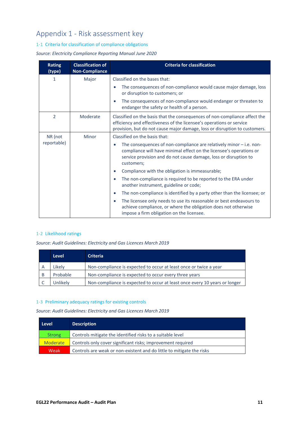## <span id="page-34-0"></span>Appendix 1 - Risk assessment key

#### 1-1 Criteria for classification of compliance obligations

#### *Source: Electricity Compliance Reporting Manual June 2020*

| <b>Rating</b><br>(type) | <b>Classification of</b><br><b>Non-Compliance</b> | <b>Criteria for classification</b>                                                                                                                                                                                                          |  |  |  |
|-------------------------|---------------------------------------------------|---------------------------------------------------------------------------------------------------------------------------------------------------------------------------------------------------------------------------------------------|--|--|--|
| 1                       | Major                                             | Classified on the bases that:                                                                                                                                                                                                               |  |  |  |
|                         |                                                   | The consequences of non-compliance would cause major damage, loss<br>$\bullet$<br>or disruption to customers; or                                                                                                                            |  |  |  |
|                         |                                                   | The consequences of non-compliance would endanger or threaten to<br>$\bullet$<br>endanger the safety or health of a person.                                                                                                                 |  |  |  |
| $\overline{2}$          | Moderate                                          | Classified on the basis that the consequences of non-compliance affect the<br>efficiency and effectiveness of the licensee's operations or service<br>provision, but do not cause major damage, loss or disruption to customers.            |  |  |  |
| NR (not                 | Minor                                             | Classified on the basis that:                                                                                                                                                                                                               |  |  |  |
| reportable)             |                                                   | The consequences of non-compliance are relatively minor $-$ i.e. non-<br>$\bullet$<br>compliance will have minimal effect on the licensee's operations or<br>service provision and do not cause damage, loss or disruption to<br>customers; |  |  |  |
|                         |                                                   | Compliance with the obligation is immeasurable;<br>$\bullet$                                                                                                                                                                                |  |  |  |
|                         |                                                   | The non-compliance is required to be reported to the ERA under<br>$\bullet$<br>another instrument, guideline or code;                                                                                                                       |  |  |  |
|                         |                                                   | The non-compliance is identified by a party other than the licensee; or<br>$\bullet$                                                                                                                                                        |  |  |  |
|                         |                                                   | The licensee only needs to use its reasonable or best endeavours to<br>$\bullet$<br>achieve compliance, or where the obligation does not otherwise<br>impose a firm obligation on the licensee.                                             |  |  |  |

#### 1-2 Likelihood ratings

*Source: Audit Guidelines: Electricity and Gas Licences March 2019*

|   | <b>Level</b> | <b>Criteria</b>                                                            |
|---|--------------|----------------------------------------------------------------------------|
|   | Likelv       | Non-compliance is expected to occur at least once or twice a year          |
| B | Probable     | Non-compliance is expected to occur every three years                      |
|   | Unlikelv     | Non-compliance is expected to occur at least once every 10 years or longer |

#### 1-3 Preliminary adequacy ratings for existing controls

*Source: Audit Guidelines: Electricity and Gas Licences March 2019*

| Level           | <b>Description</b>                                                    |
|-----------------|-----------------------------------------------------------------------|
| <b>Strong</b>   | Controls mitigate the identified risks to a suitable level            |
| <b>Moderate</b> | Controls only cover significant risks; improvement required           |
| Weak            | Controls are weak or non-existent and do little to mitigate the risks |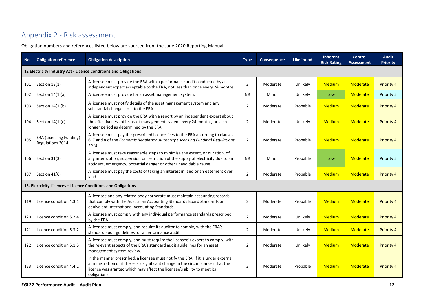## Appendix 2 - Risk assessment

Obligation numbers and references listed below are sourced from the June 2020 Reporting Manual.

<span id="page-35-0"></span>

| <b>No</b> | <b>Obligation reference</b>                                                                                                                                                                                                                                                                                                                                                                                                                                                                                                                                                                                                                                                                                                                                                                                                                                                                                                                                                                                                                                                                                                                                                                                                                                                                                                                                                                                                                                                                                                                                                                                                                                                                                                                                                                                                                                                                    | <b>Obligation description</b>                                                                                                                                                                                                                                    | <b>Type</b>    | <b>Consequence</b> | Likelihood | Inherent<br><b>Risk Rating</b> | Control<br><b>Assessment</b> | <b>Audit</b><br><b>Priority</b> |
|-----------|------------------------------------------------------------------------------------------------------------------------------------------------------------------------------------------------------------------------------------------------------------------------------------------------------------------------------------------------------------------------------------------------------------------------------------------------------------------------------------------------------------------------------------------------------------------------------------------------------------------------------------------------------------------------------------------------------------------------------------------------------------------------------------------------------------------------------------------------------------------------------------------------------------------------------------------------------------------------------------------------------------------------------------------------------------------------------------------------------------------------------------------------------------------------------------------------------------------------------------------------------------------------------------------------------------------------------------------------------------------------------------------------------------------------------------------------------------------------------------------------------------------------------------------------------------------------------------------------------------------------------------------------------------------------------------------------------------------------------------------------------------------------------------------------------------------------------------------------------------------------------------------------|------------------------------------------------------------------------------------------------------------------------------------------------------------------------------------------------------------------------------------------------------------------|----------------|--------------------|------------|--------------------------------|------------------------------|---------------------------------|
|           | 12 Electricity Industry Act - Licence Conditions and Obligations<br>A licensee must provide the ERA with a performance audit conducted by an<br>$\overline{2}$<br>Unlikely<br><b>Medium</b><br>Section 13(1)<br>Moderate<br>Moderate<br>independent expert acceptable to the ERA, not less than once every 24 months.<br><b>NR</b><br>Unlikely<br><b>Moderate</b><br>Section $14(1)(a)$<br>A licensee must provide for an asset management system.<br>Minor<br>Low<br>A licensee must notify details of the asset management system and any<br>$\overline{2}$<br>Section $14(1)(b)$<br>Moderate<br>Probable<br><b>Medium</b><br><b>Moderate</b><br>substantial changes to it to the ERA.<br>A licensee must provide the ERA with a report by an independent expert about<br>the effectiveness of its asset management system every 24 months, or such<br>$\overline{2}$<br><b>Medium</b><br>Unlikely<br>Moderate<br>Section $14(1)(c)$<br>Moderate<br>longer period as determined by the ERA.<br>A licensee must pay the prescribed licence fees to the ERA according to clauses<br><b>ERA (Licensing Funding)</b><br>6, 7 and 8 of the Economic Regulation Authority (Licensing Funding) Regulations<br>$\overline{2}$<br><b>Medium</b><br>Moderate<br>Probable<br>Moderate<br>Regulations 2014<br>2014.<br>A licensee must take reasonable steps to minimise the extent, or duration, of<br>any interruption, suspension or restriction of the supply of electricity due to an<br>Section 31(3)<br><b>NR</b><br>Minor<br>Probable<br><b>Moderate</b><br>Low<br>accident, emergency, potential danger or other unavoidable cause.<br>A licensee must pay the costs of taking an interest in land or an easement over<br>$\overline{2}$<br><b>Medium</b><br>Section 41(6)<br>Moderate<br>Probable<br><b>Moderate</b><br>land.<br>13. Electricity Licences - Licence Conditions and Obligations |                                                                                                                                                                                                                                                                  |                |                    |            |                                |                              |                                 |
| 101       |                                                                                                                                                                                                                                                                                                                                                                                                                                                                                                                                                                                                                                                                                                                                                                                                                                                                                                                                                                                                                                                                                                                                                                                                                                                                                                                                                                                                                                                                                                                                                                                                                                                                                                                                                                                                                                                                                                |                                                                                                                                                                                                                                                                  |                |                    |            |                                |                              | Priority 4                      |
| 102       |                                                                                                                                                                                                                                                                                                                                                                                                                                                                                                                                                                                                                                                                                                                                                                                                                                                                                                                                                                                                                                                                                                                                                                                                                                                                                                                                                                                                                                                                                                                                                                                                                                                                                                                                                                                                                                                                                                |                                                                                                                                                                                                                                                                  |                |                    |            |                                |                              | Priority 5                      |
| 103       |                                                                                                                                                                                                                                                                                                                                                                                                                                                                                                                                                                                                                                                                                                                                                                                                                                                                                                                                                                                                                                                                                                                                                                                                                                                                                                                                                                                                                                                                                                                                                                                                                                                                                                                                                                                                                                                                                                |                                                                                                                                                                                                                                                                  |                |                    |            |                                |                              | Priority 4                      |
| 104       |                                                                                                                                                                                                                                                                                                                                                                                                                                                                                                                                                                                                                                                                                                                                                                                                                                                                                                                                                                                                                                                                                                                                                                                                                                                                                                                                                                                                                                                                                                                                                                                                                                                                                                                                                                                                                                                                                                |                                                                                                                                                                                                                                                                  |                |                    |            |                                |                              | <b>Priority 4</b>               |
| 105       |                                                                                                                                                                                                                                                                                                                                                                                                                                                                                                                                                                                                                                                                                                                                                                                                                                                                                                                                                                                                                                                                                                                                                                                                                                                                                                                                                                                                                                                                                                                                                                                                                                                                                                                                                                                                                                                                                                |                                                                                                                                                                                                                                                                  |                |                    |            |                                |                              | <b>Priority 4</b>               |
| 106       |                                                                                                                                                                                                                                                                                                                                                                                                                                                                                                                                                                                                                                                                                                                                                                                                                                                                                                                                                                                                                                                                                                                                                                                                                                                                                                                                                                                                                                                                                                                                                                                                                                                                                                                                                                                                                                                                                                |                                                                                                                                                                                                                                                                  |                |                    |            |                                |                              | Priority 5                      |
| 107       |                                                                                                                                                                                                                                                                                                                                                                                                                                                                                                                                                                                                                                                                                                                                                                                                                                                                                                                                                                                                                                                                                                                                                                                                                                                                                                                                                                                                                                                                                                                                                                                                                                                                                                                                                                                                                                                                                                |                                                                                                                                                                                                                                                                  |                |                    |            |                                |                              | Priority 4                      |
|           |                                                                                                                                                                                                                                                                                                                                                                                                                                                                                                                                                                                                                                                                                                                                                                                                                                                                                                                                                                                                                                                                                                                                                                                                                                                                                                                                                                                                                                                                                                                                                                                                                                                                                                                                                                                                                                                                                                |                                                                                                                                                                                                                                                                  |                |                    |            |                                |                              |                                 |
| 119       | Licence condition 4.3.1                                                                                                                                                                                                                                                                                                                                                                                                                                                                                                                                                                                                                                                                                                                                                                                                                                                                                                                                                                                                                                                                                                                                                                                                                                                                                                                                                                                                                                                                                                                                                                                                                                                                                                                                                                                                                                                                        | A licensee and any related body corporate must maintain accounting records<br>that comply with the Australian Accounting Standards Board Standards or<br>equivalent International Accounting Standards.                                                          | $\overline{2}$ | Moderate           | Probable   | <b>Medium</b>                  | <b>Moderate</b>              | <b>Priority 4</b>               |
| 120       | Licence condition 5.2.4                                                                                                                                                                                                                                                                                                                                                                                                                                                                                                                                                                                                                                                                                                                                                                                                                                                                                                                                                                                                                                                                                                                                                                                                                                                                                                                                                                                                                                                                                                                                                                                                                                                                                                                                                                                                                                                                        | A licensee must comply with any individual performance standards prescribed<br>by the ERA.                                                                                                                                                                       | $\overline{2}$ | Moderate           | Unlikely   | <b>Medium</b>                  | <b>Moderate</b>              | Priority 4                      |
| 121       | Licence condition 5.3.2                                                                                                                                                                                                                                                                                                                                                                                                                                                                                                                                                                                                                                                                                                                                                                                                                                                                                                                                                                                                                                                                                                                                                                                                                                                                                                                                                                                                                                                                                                                                                                                                                                                                                                                                                                                                                                                                        | A licensee must comply, and require its auditor to comply, with the ERA's<br>standard audit guidelines for a performance audit.                                                                                                                                  | $\overline{2}$ | Moderate           | Unlikely   | <b>Medium</b>                  | Moderate                     | <b>Priority 4</b>               |
| 122       | Licence condition 5.1.5                                                                                                                                                                                                                                                                                                                                                                                                                                                                                                                                                                                                                                                                                                                                                                                                                                                                                                                                                                                                                                                                                                                                                                                                                                                                                                                                                                                                                                                                                                                                                                                                                                                                                                                                                                                                                                                                        | A licensee must comply, and must require the licensee's expert to comply, with<br>the relevant aspects of the ERA's standard audit guidelines for an asset<br>management system review.                                                                          | $\overline{2}$ | Moderate           | Unlikely   | <b>Medium</b>                  | <b>Moderate</b>              | <b>Priority 4</b>               |
| 123       | Licence condition 4.4.1                                                                                                                                                                                                                                                                                                                                                                                                                                                                                                                                                                                                                                                                                                                                                                                                                                                                                                                                                                                                                                                                                                                                                                                                                                                                                                                                                                                                                                                                                                                                                                                                                                                                                                                                                                                                                                                                        | In the manner prescribed, a licensee must notify the ERA, if it is under external<br>administration or if there is a significant change in the circumstances that the<br>licence was granted which may affect the licensee's ability to meet its<br>obligations. | $\overline{2}$ | Moderate           | Probable   | <b>Medium</b>                  | Moderate                     | <b>Priority 4</b>               |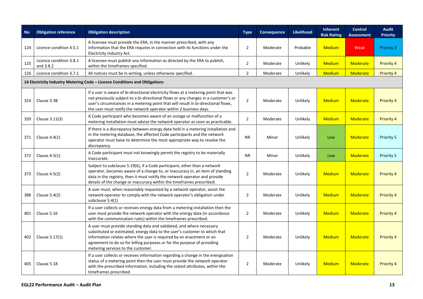| <b>No</b> | <b>Obligation reference</b>          | <b>Obligation description</b>                                                                                                                                                                                                                                                                                                               | <b>Type</b>    | <b>Consequence</b> | <b>Likelihood</b> | <b>Inherent</b><br><b>Risk Rating</b> | <b>Control</b><br><b>Assessment</b> | <b>Audit</b><br><b>Priority</b> |
|-----------|--------------------------------------|---------------------------------------------------------------------------------------------------------------------------------------------------------------------------------------------------------------------------------------------------------------------------------------------------------------------------------------------|----------------|--------------------|-------------------|---------------------------------------|-------------------------------------|---------------------------------|
| 124       | Licence condition 4.5.1              | A licensee must provide the ERA, in the manner prescribed, with any<br>information that the ERA requires in connection with its functions under the<br>Electricity Industry Act.                                                                                                                                                            | $\overline{2}$ | Moderate           | Probable          | <b>Medium</b>                         | Weak                                | <b>Priority 3</b>               |
| 125       | Licence condition 3.8.1<br>and 3.8.2 | A licensee must publish any information as directed by the ERA to publish,<br>within the timeframes specified.                                                                                                                                                                                                                              | $\overline{2}$ | Moderate           | Unlikely          | <b>Medium</b>                         | <b>Moderate</b>                     | Priority 4                      |
| 126       | Licence condition 3.7.1              | All notices must be in writing, unless otherwise specified.                                                                                                                                                                                                                                                                                 | $\overline{2}$ | Moderate           | Unlikely          | <b>Medium</b>                         | <b>Moderate</b>                     | Priority 4                      |
|           |                                      | 14 Electricity Industry Metering Code – Licence Conditions and Obligations                                                                                                                                                                                                                                                                  |                |                    |                   |                                       |                                     |                                 |
| 324       | Clause 3.3B                          | If a user is aware of bi-directional electricity flows at a metering point that was<br>not previously subject to a bi-directional flows or any changes in a customer's or<br>user's circumstances in a metering point that will result in bi-directional flows,<br>the user must notify the network operator within 2 business days.        | $\overline{2}$ | Moderate           | Unlikely          | <b>Medium</b>                         | <b>Moderate</b>                     | <b>Priority 4</b>               |
| 339       | Clause 3.11(3)                       | A Code participant who becomes aware of an outage or malfunction of a<br>metering installation must advise the network operator as soon as practicable.                                                                                                                                                                                     | $\overline{2}$ | Moderate           | Unlikely          | <b>Medium</b>                         | <b>Moderate</b>                     | <b>Priority 4</b>               |
| 371       | Clause $4.4(1)$                      | If there is a discrepancy between energy data held in a metering installation and<br>in the metering database, the affected Code participants and the network<br>operator must liaise to determine the most appropriate way to resolve the<br>discrepancy.                                                                                  | <b>NR</b>      | Minor              | Unlikely          | Low                                   | <b>Moderate</b>                     | Priority 5                      |
| 372       | Clause $4.5(1)$                      | A Code participant must not knowingly permit the registry to be materially<br>inaccurate.                                                                                                                                                                                                                                                   | <b>NR</b>      | Minor              | Unlikely          | Low                                   | <b>Moderate</b>                     | Priority 5                      |
| 373       | Clause 4.5(2)                        | Subject to subclause 5.19(6), if a Code participant, other than a network<br>operator, becomes aware of a change to, or inaccuracy in, an item of standing<br>data in the registry, then it must notify the network operator and provide<br>details of the change or inaccuracy within the timeframes prescribed.                           | $\overline{2}$ | Moderate           | Unlikely          | <b>Medium</b>                         | <b>Moderate</b>                     | <b>Priority 4</b>               |
| 388       | Clause 5.4(2)                        | A user must, when reasonably requested by a network operator, assist the<br>network operator to comply with the network operator's obligation under<br>subclause 5.4(1)                                                                                                                                                                     | $\overline{2}$ | Moderate           | Unlikely          | <b>Medium</b>                         | <b>Moderate</b>                     | <b>Priority 4</b>               |
| 401       | Clause 5.16                          | If a user collects or receives energy data from a metering installation then the<br>user must provide the network operator with the energy data (in accordance<br>with the communication rules) within the timeframes prescribed.                                                                                                           | $\overline{2}$ | Moderate           | Unlikely          | <b>Medium</b>                         | <b>Moderate</b>                     | <b>Priority 4</b>               |
| 402       | Clause 5.17(1)                       | A user must provide standing data and validated, and where necessary<br>substituted or estimated, energy data to the user's customer to which that<br>information relates where the user is required by an enactment or an<br>agreement to do so for billing purposes or for the purpose of providing<br>metering services to the customer. | $\overline{2}$ | Moderate           | Unlikely          | <b>Medium</b>                         | <b>Moderate</b>                     | <b>Priority 4</b>               |
| 405       | Clause 5.18                          | If a user collects or receives information regarding a change in the energisation<br>status of a metering point then the user must provide the network operator<br>with the prescribed information, including the stated attributes, within the<br>timeframes prescribed.                                                                   | $\overline{2}$ | Moderate           | Unlikely          | <b>Medium</b>                         | <b>Moderate</b>                     | <b>Priority 4</b>               |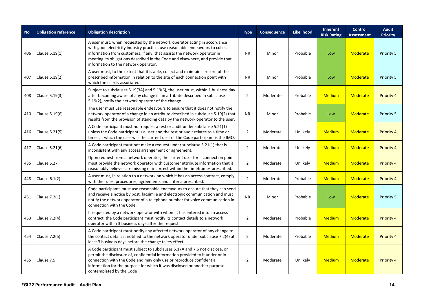| <b>No</b> | <b>Obligation reference</b> | <b>Obligation description</b>                                                                                                                                                                                                                                                                                                                                  | <b>Type</b>    | <b>Consequence</b> | <b>Likelihood</b> | Inherent<br><b>Risk Rating</b> | <b>Control</b><br><b>Assessment</b> | <b>Audit</b><br><b>Priority</b> |
|-----------|-----------------------------|----------------------------------------------------------------------------------------------------------------------------------------------------------------------------------------------------------------------------------------------------------------------------------------------------------------------------------------------------------------|----------------|--------------------|-------------------|--------------------------------|-------------------------------------|---------------------------------|
| 406       | Clause 5.19(1)              | A user must, when requested by the network operator acting in accordance<br>with good electricity industry practice, use reasonable endeavours to collect<br>information from customers, if any, that assists the network operator in<br>meeting its obligations described in the Code and elsewhere, and provide that<br>information to the network operator. | <b>NR</b>      | Minor              | Probable          | Low                            | <b>Moderate</b>                     | Priority 5                      |
| 407       | Clause 5.19(2)              | A user must, to the extent that it is able, collect and maintain a record of the<br>prescribed information in relation to the site of each connection point with<br>which the user is associated.                                                                                                                                                              | <b>NR</b>      | Minor              | Probable          | Low                            | <b>Moderate</b>                     | Priority 5                      |
| 408       | Clause 5.19(3)              | Subject to subclauses 5.19(3A) and 5.19(6), the user must, within 1 business day<br>after becoming aware of any change in an attribute described in subclause<br>5.19(2), notify the network operator of the change.                                                                                                                                           | $\overline{2}$ | Moderate           | Probable          | <b>Medium</b>                  | <b>Moderate</b>                     | <b>Priority 4</b>               |
| 410       | Clause 5.19(6)              | The user must use reasonable endeavours to ensure that it does not notify the<br>network operator of a change in an attribute described in subclause 5.19(2) that<br>results from the provision of standing data by the network operator to the user.                                                                                                          | <b>NR</b>      | Minor              | Probable          | Low                            | <b>Moderate</b>                     | Priority 5                      |
| 416       | Clause 5.21(5)              | A Code participant must not request a test or audit under subclause 5.21(1)<br>unless the Code participant is a user and the test or audit relates to a time or<br>times at which the user was the current user or the Code participant is the IMO.                                                                                                            | $\overline{2}$ | Moderate           | Unlikely          | <b>Medium</b>                  | <b>Moderate</b>                     | <b>Priority 4</b>               |
| 417       | Clause 5.21(6)              | A Code participant must not make a request under subclause 5.21(1) that is<br>inconsistent with any access arrangement or agreement.                                                                                                                                                                                                                           | $\overline{2}$ | Moderate           | Unlikely          | <b>Medium</b>                  | <b>Moderate</b>                     | <b>Priority 4</b>               |
| 435       | Clause 5.27                 | Upon request from a network operator, the current user for a connection point<br>must provide the network operator with customer attribute information that it<br>reasonably believes are missing or incorrect within the timeframes prescribed.                                                                                                               | $\overline{2}$ | Moderate           | Unlikely          | <b>Medium</b>                  | <b>Moderate</b>                     | Priority 4                      |
| 448       | Clause $6.1(2)$             | A user must, in relation to a network on which it has an access contract, comply<br>with the rules, procedures, agreements and criteria prescribed.                                                                                                                                                                                                            | $\overline{2}$ | Moderate           | Probable          | <b>Medium</b>                  | <b>Moderate</b>                     | <b>Priority 4</b>               |
| 451       | Clause 7.2(1)               | Code participants must use reasonable endeavours to ensure that they can send<br>and receive a notice by post, facsimile and electronic communication and must<br>notify the network operator of a telephone number for voice communication in<br>connection with the Code.                                                                                    | <b>NR</b>      | Minor              | Probable          | Low                            | <b>Moderate</b>                     | Priority 5                      |
| 453       | Clause 7.2(4)               | If requested by a network operator with whom it has entered into an access<br>contract, the Code participant must notify its contact details to a network<br>operator within 3 business days after the request.                                                                                                                                                | $\overline{2}$ | Moderate           | Probable          | <b>Medium</b>                  | Moderate                            | <b>Priority 4</b>               |
| 454       | Clause 7.2(5)               | A Code participant must notify any affected network operator of any change to<br>the contact details it notified to the network operator under subclause 7.2(4) at<br>least 3 business days before the change takes effect.                                                                                                                                    | $\overline{2}$ | Moderate           | Probable          | <b>Medium</b>                  | <b>Moderate</b>                     | <b>Priority 4</b>               |
| 455       | Clause 7.5                  | A Code participant must subject to subclauses 5.17A and 7.6 not disclose, or<br>permit the disclosure of, confidential information provided to it under or in<br>connection with the Code and may only use or reproduce confidential<br>information for the purpose for which it was disclosed or another purpose<br>contemplated by the Code                  | 2              | Moderate           | Unlikely          | <b>Medium</b>                  | Moderate                            | <b>Priority 4</b>               |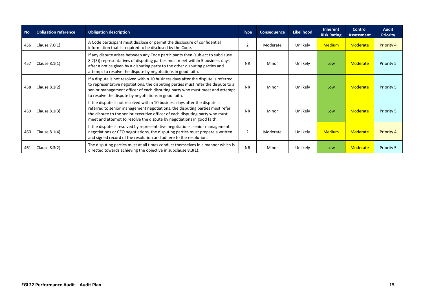| <b>No</b> | <b>Obligation reference</b> | <b>Obligation description</b>                                                                                                                                                                                                                                                                                         | <b>Type</b>    | <b>Consequence</b> | <b>Likelihood</b> | Inherent<br><b>Risk Rating</b> | Control<br><b>Assessment</b> | <b>Audit</b><br><b>Priority</b> |
|-----------|-----------------------------|-----------------------------------------------------------------------------------------------------------------------------------------------------------------------------------------------------------------------------------------------------------------------------------------------------------------------|----------------|--------------------|-------------------|--------------------------------|------------------------------|---------------------------------|
| 456       | Clause $7.6(1)$             | A Code participant must disclose or permit the disclosure of confidential<br>information that is required to be disclosed by the Code.                                                                                                                                                                                | $\overline{2}$ | Moderate           | Unlikely          | <b>Medium</b>                  | <b>Moderate</b>              | <b>Priority 4</b>               |
| 457       | Clause $8.1(1)$             | If any dispute arises between any Code participants then (subject to subclause<br>8.2(3)) representatives of disputing parties must meet within 5 business days<br>after a notice given by a disputing party to the other disputing parties and<br>attempt to resolve the dispute by negotiations in good faith.      | <b>NR</b>      | Minor              | Unlikely          | Low                            | <b>Moderate</b>              | Priority 5                      |
| 458       | Clause $8.1(2)$             | If a dispute is not resolved within 10 business days after the dispute is referred<br>to representative negotiations, the disputing parties must refer the dispute to a<br>senior management officer of each disputing party who must meet and attempt<br>to resolve the dispute by negotiations in good faith.       | <b>NR</b>      | Minor              | Unlikely          | Low                            | <b>Moderate</b>              | Priority 5                      |
| 459       | Clause $8.1(3)$             | If the dispute is not resolved within 10 business days after the dispute is<br>referred to senior management negotiations, the disputing parties must refer<br>the dispute to the senior executive officer of each disputing party who must<br>meet and attempt to resolve the dispute by negotiations in good faith. | <b>NR</b>      | Minor              | Unlikely          | Low                            | <b>Moderate</b>              | Priority 5                      |
| 460       | Clause $8.1(4)$             | If the dispute is resolved by representative negotiations, senior management<br>negotiations or CEO negotiations, the disputing parties must prepare a written<br>and signed record of the resolution and adhere to the resolution.                                                                                   | 2              | Moderate           | Unlikely          | <b>Medium</b>                  | <b>Moderate</b>              | <b>Priority 4</b>               |
| 461       | Clause $8.3(2)$             | The disputing parties must at all times conduct themselves in a manner which is<br>directed towards achieving the objective in subclause 8.3(1).                                                                                                                                                                      | <b>NR</b>      | Minor              | Unlikely          | Low                            | Moderate                     | Priority 5                      |